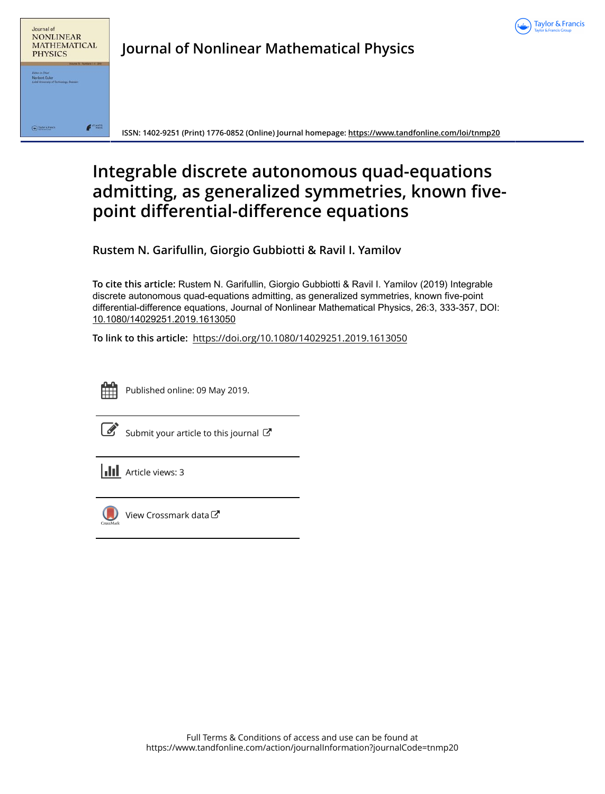



**Journal of Nonlinear Mathematical Physics**

**ISSN: 1402-9251 (Print) 1776-0852 (Online) Journal homepage:<https://www.tandfonline.com/loi/tnmp20>**

# **Integrable discrete autonomous quad-equations admitting, as generalized symmetries, known fivepoint differential-difference equations**

**Rustem N. Garifullin, Giorgio Gubbiotti & Ravil I. Yamilov**

**To cite this article:** Rustem N. Garifullin, Giorgio Gubbiotti & Ravil I. Yamilov (2019) Integrable discrete autonomous quad-equations admitting, as generalized symmetries, known five-point differential-difference equations, Journal of Nonlinear Mathematical Physics, 26:3, 333-357, DOI: [10.1080/14029251.2019.1613050](https://www.tandfonline.com/action/showCitFormats?doi=10.1080/14029251.2019.1613050)

**To link to this article:** <https://doi.org/10.1080/14029251.2019.1613050>



Published online: 09 May 2019.

| I |
|---|

[Submit your article to this journal](https://www.tandfonline.com/action/authorSubmission?journalCode=tnmp20&show=instructions)  $\mathbb{Z}$ 

 $\left\| \cdot \right\|$  Article views: 3



[View Crossmark data](http://crossmark.crossref.org/dialog/?doi=10.1080/14029251.2019.1613050&domain=pdf&date_stamp=2019-05-09) C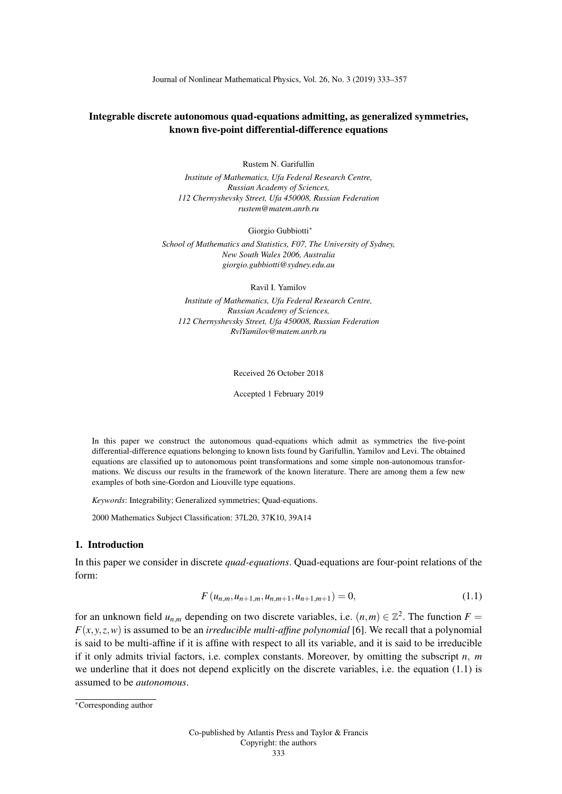Journal of Nonlinear Mathematical Physics, Vol. 26, No. 3 (2019) 333–357

## Integrable discrete autonomous quad-equations admitting, as generalized symmetries, known five-point differential-difference equations

Rustem N. Garifullin

*Institute of Mathematics, Ufa Federal Research Centre, Russian Academy of Sciences, 112 Chernyshevsky Street, Ufa 450008, Russian Federation rustem@matem.anrb.ru*

Giorgio Gubbiotti<sup>∗</sup>

*School of Mathematics and Statistics, F07, The University of Sydney, New South Wales 2006, Australia giorgio.gubbiotti@sydney.edu.au*

Ravil I. Yamilov

*Institute of Mathematics, Ufa Federal Research Centre, Russian Academy of Sciences, 112 Chernyshevsky Street, Ufa 450008, Russian Federation RvlYamilov@matem.anrb.ru*

Received 26 October 2018

Accepted 1 February 2019

In this paper we construct the autonomous quad-equations which admit as symmetries the five-point differential-difference equations belonging to known lists found by Garifullin, Yamilov and Levi. The obtained equations are classified up to autonomous point transformations and some simple non-autonomous transformations. We discuss our results in the framework of the known literature. There are among them a few new examples of both sine-Gordon and Liouville type equations.

*Keywords*: Integrability; Generalized symmetries; Quad-equations.

2000 Mathematics Subject Classification: 37L20, 37K10, 39A14

#### 1. Introduction

In this paper we consider in discrete *quad-equations*. Quad-equations are four-point relations of the form:

$$
F(u_{n,m},u_{n+1,m},u_{n,m+1},u_{n+1,m+1})=0,
$$
\n(1.1)

for an unknown field  $u_{n,m}$  depending on two discrete variables, i.e.  $(n,m) \in \mathbb{Z}^2$ . The function  $F =$  $F(x, y, z, w)$  is assumed to be an *irreducible multi-affine polynomial* [6]. We recall that a polynomial is said to be multi-affine if it is affine with respect to all its variable, and it is said to be irreducible if it only admits trivial factors, i.e. complex constants. Moreover, by omitting the subscript *n*, *m* we underline that it does not depend explicitly on the discrete variables, i.e. the equation (1.1) is assumed to be *autonomous*.

<sup>∗</sup>Corresponding author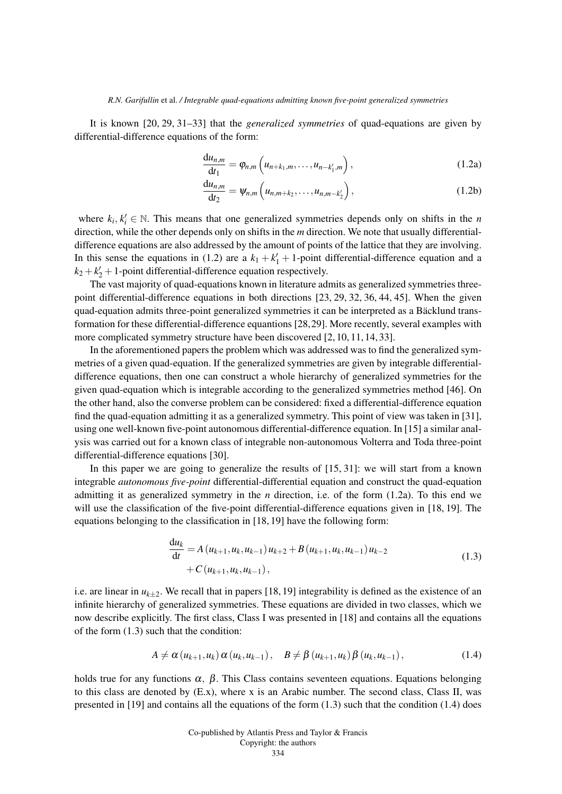It is known [20, 29, 31–33] that the *generalized symmetries* of quad-equations are given by differential-difference equations of the form:

$$
\frac{\mathrm{d}u_{n,m}}{\mathrm{d}t_1} = \varphi_{n,m}\left(u_{n+k_1,m},\ldots,u_{n-k'_1,m}\right),\tag{1.2a}
$$

$$
\frac{du_{n,m}}{dt_2} = \psi_{n,m} \left( u_{n,m+k_2}, \dots, u_{n,m-k'_2} \right),
$$
\n(1.2b)

where  $k_i, k'_i \in \mathbb{N}$ . This means that one generalized symmetries depends only on shifts in the *n* direction, while the other depends only on shifts in the *m* direction. We note that usually differentialdifference equations are also addressed by the amount of points of the lattice that they are involving. In this sense the equations in (1.2) are a  $k_1 + k_1' + 1$ -point differential-difference equation and a  $k_2 + k_2' + 1$ -point differential-difference equation respectively.

The vast majority of quad-equations known in literature admits as generalized symmetries threepoint differential-difference equations in both directions [23, 29, 32, 36, 44, 45]. When the given quad-equation admits three-point generalized symmetries it can be interpreted as a Bäcklund transformation for these differential-difference equantions [28,29]. More recently, several examples with more complicated symmetry structure have been discovered [2, 10, 11, 14, 33].

In the aforementioned papers the problem which was addressed was to find the generalized symmetries of a given quad-equation. If the generalized symmetries are given by integrable differentialdifference equations, then one can construct a whole hierarchy of generalized symmetries for the given quad-equation which is integrable according to the generalized symmetries method [46]. On the other hand, also the converse problem can be considered: fixed a differential-difference equation find the quad-equation admitting it as a generalized symmetry. This point of view was taken in [31], using one well-known five-point autonomous differential-difference equation. In [15] a similar analysis was carried out for a known class of integrable non-autonomous Volterra and Toda three-point differential-difference equations [30].

In this paper we are going to generalize the results of [15, 31]: we will start from a known integrable *autonomous five-point* differential-differential equation and construct the quad-equation admitting it as generalized symmetry in the *n* direction, i.e. of the form (1.2a). To this end we will use the classification of the five-point differential-difference equations given in [18, 19]. The equations belonging to the classification in [18, 19] have the following form:

$$
\frac{du_k}{dt} = A (u_{k+1}, u_k, u_{k-1}) u_{k+2} + B (u_{k+1}, u_k, u_{k-1}) u_{k-2} + C (u_{k+1}, u_k, u_{k-1}),
$$
\n(1.3)

i.e. are linear in  $u_{k+2}$ . We recall that in papers [18, 19] integrability is defined as the existence of an infinite hierarchy of generalized symmetries. These equations are divided in two classes, which we now describe explicitly. The first class, Class I was presented in [18] and contains all the equations of the form (1.3) such that the condition:

$$
A \neq \alpha (u_{k+1}, u_k) \alpha (u_k, u_{k-1}), \quad B \neq \beta (u_{k+1}, u_k) \beta (u_k, u_{k-1}), \qquad (1.4)
$$

holds true for any functions  $\alpha$ ,  $\beta$ . This Class contains seventeen equations. Equations belonging to this class are denoted by  $(E.x)$ , where x is an Arabic number. The second class, Class II, was presented in [19] and contains all the equations of the form (1.3) such that the condition (1.4) does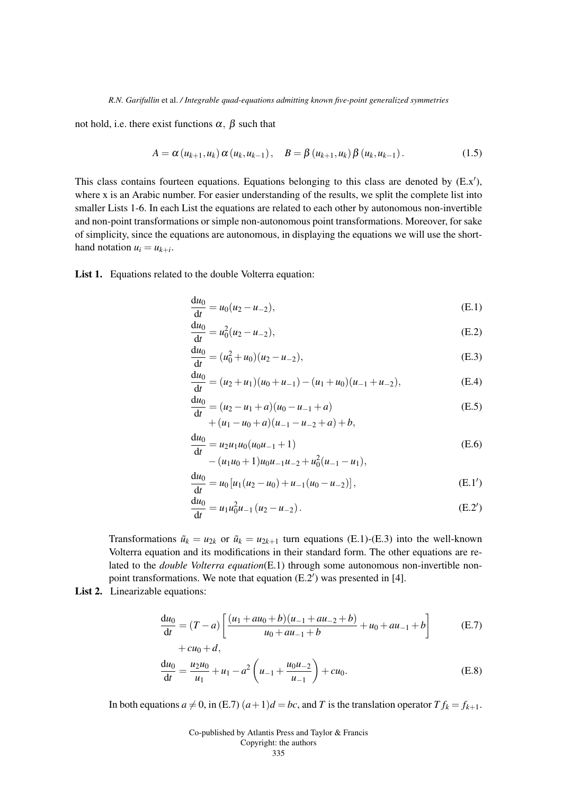not hold, i.e. there exist functions  $\alpha$ ,  $\beta$  such that

$$
A = \alpha (u_{k+1}, u_k) \alpha (u_k, u_{k-1}), \quad B = \beta (u_{k+1}, u_k) \beta (u_k, u_{k-1}). \tag{1.5}
$$

This class contains fourteen equations. Equations belonging to this class are denoted by  $(E.x')$ , where x is an Arabic number. For easier understanding of the results, we split the complete list into smaller Lists 1-6. In each List the equations are related to each other by autonomous non-invertible and non-point transformations or simple non-autonomous point transformations. Moreover, for sake of simplicity, since the equations are autonomous, in displaying the equations we will use the shorthand notation  $u_i = u_{k+i}$ .

List 1. Equations related to the double Volterra equation:

$$
\frac{du_0}{dt} = u_0(u_2 - u_{-2}),
$$
\n(E.1)

$$
\frac{du_0}{dt} = u_0^2 (u_2 - u_{-2}),
$$
\n(E.2)

$$
\frac{du_0}{dt} = (u_0^2 + u_0)(u_2 - u_{-2}),
$$
\n(E.3)

$$
\frac{du_0}{dt} = (u_2 + u_1)(u_0 + u_{-1}) - (u_1 + u_0)(u_{-1} + u_{-2}),
$$
 (E.4)

$$
\frac{du_0}{dt} = (u_2 - u_1 + a)(u_0 - u_{-1} + a)
$$
  
+  $(u_1 - u_0 + a)(u_{-1} - u_{-2} + a) + b,$  (E.5)

$$
\frac{du_0}{dt} = u_2 u_1 u_0 (u_0 u_{-1} + 1)
$$
\n(E.6)

$$
u' - (u_1u_0 + 1)u_0u_{-1}u_{-2} + u_0^2(u_{-1} - u_1),
$$

$$
\frac{du_0}{dt} = u_0 [u_1 (u_2 - u_0) + u_{-1} (u_0 - u_{-2})],
$$
\n(E.1')

$$
\frac{du_0}{dt} = u_1 u_0^2 u_{-1} (u_2 - u_{-2}).
$$
\n(E.2')

Transformations  $\tilde{u}_k = u_{2k}$  or  $\tilde{u}_k = u_{2k+1}$  turn equations (E.1)-(E.3) into the well-known Volterra equation and its modifications in their standard form. The other equations are related to the *double Volterra equation*(E.1) through some autonomous non-invertible nonpoint transformations. We note that equation  $(E.2')$  was presented in [4].

List 2. Linearizable equations:

$$
\frac{du_0}{dt} = (T - a) \left[ \frac{(u_1 + au_0 + b)(u_{-1} + au_{-2} + b)}{u_0 + au_{-1} + b} + u_0 + au_{-1} + b \right]
$$
(E.7)  
+ cu<sub>0</sub> + d,

$$
\frac{du_0}{dt} = \frac{u_2 u_0}{u_1} + u_1 - a^2 \left( u_{-1} + \frac{u_0 u_{-2}}{u_{-1}} \right) + cu_0.
$$
 (E.8)

In both equations  $a \neq 0$ , in (E.7)  $(a+1)d = bc$ , and *T* is the translation operator  $T f_k = f_{k+1}$ .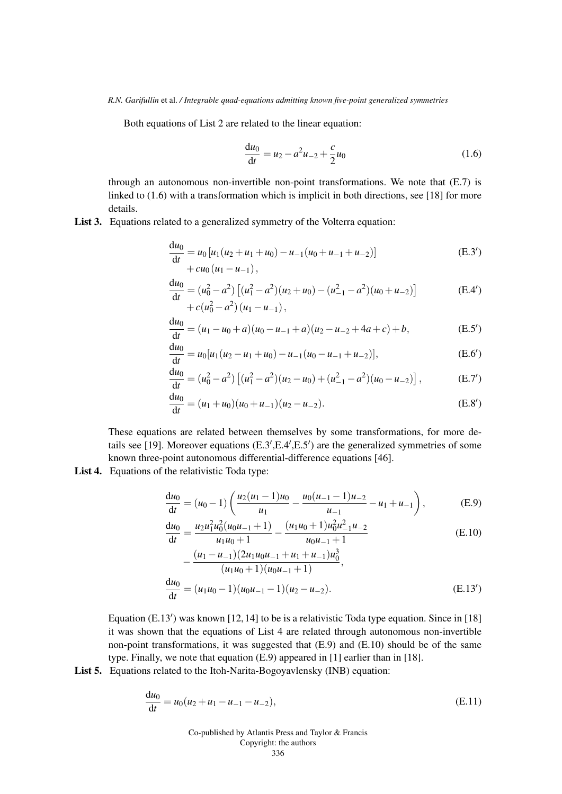Both equations of List 2 are related to the linear equation:

$$
\frac{du_0}{dt} = u_2 - a^2 u_{-2} + \frac{c}{2} u_0 \tag{1.6}
$$

through an autonomous non-invertible non-point transformations. We note that (E.7) is linked to (1.6) with a transformation which is implicit in both directions, see [18] for more details.

List 3. Equations related to a generalized symmetry of the Volterra equation:

$$
\frac{du_0}{dt} = u_0 [u_1(u_2 + u_1 + u_0) - u_{-1}(u_0 + u_{-1} + u_{-2})]
$$
\n
$$
+ cu_0 (u_1 - u_{-1}),
$$
\n(E.3')

$$
\frac{du_0}{dt} = (u_0^2 - a^2) [(u_1^2 - a^2)(u_2 + u_0) - (u_{-1}^2 - a^2)(u_0 + u_{-2})]
$$
\n
$$
+ c(u_0^2 - a^2)(u_1 - u_{-1}),
$$
\n(E.4')

$$
\frac{du_0}{dt} = (u_1 - u_0 + a)(u_0 - u_{-1} + a)(u_2 - u_{-2} + 4a + c) + b,\tag{E.5'}
$$

$$
\frac{du_0}{dt} = u_0[u_1(u_2 - u_1 + u_0) - u_{-1}(u_0 - u_{-1} + u_{-2})],
$$
 (E.6')

$$
\frac{du_0}{dt} = (u_0^2 - a^2) [(u_1^2 - a^2)(u_2 - u_0) + (u_{-1}^2 - a^2)(u_0 - u_{-2})],
$$
 (E.7')

$$
\frac{du_0}{dt} = (u_1 + u_0)(u_0 + u_{-1})(u_2 - u_{-2}).
$$
\n(E.8')

These equations are related between themselves by some transformations, for more details see [19]. Moreover equations  $(E.3', E.4', E.5')$  are the generalized symmetries of some known three-point autonomous differential-difference equations [46].

List 4. Equations of the relativistic Toda type:

$$
\frac{du_0}{dt} = (u_0 - 1) \left( \frac{u_2(u_1 - 1)u_0}{u_1} - \frac{u_0(u_{-1} - 1)u_{-2}}{u_{-1}} - u_1 + u_{-1} \right),
$$
 (E.9)

$$
\frac{du_0}{dt} = \frac{u_2 u_1^2 u_0^2 (u_0 u_{-1} + 1)}{u_1 u_0 + 1} - \frac{(u_1 u_0 + 1) u_0^2 u_{-1}^2 u_{-2}}{u_0 u_{-1} + 1}
$$
(E.10)

$$
-\frac{(u_1 - u_{-1})(2u_1u_0u_{-1} + u_1 + u_{-1})u_0^3}{(u_1u_0 + 1)(u_0u_{-1} + 1)},
$$
  
\n
$$
\frac{du_0}{dt} = (u_1u_0 - 1)(u_0u_{-1} - 1)(u_2 - u_{-2}).
$$
\n(E.13')

Equation  $(E.13')$  was known [12, 14] to be is a relativistic Toda type equation. Since in [18] it was shown that the equations of List 4 are related through autonomous non-invertible non-point transformations, it was suggested that (E.9) and (E.10) should be of the same type. Finally, we note that equation (E.9) appeared in [1] earlier than in [18].

List 5. Equations related to the Itoh-Narita-Bogoyavlensky (INB) equation:

$$
\frac{du_0}{dt} = u_0(u_2 + u_1 - u_{-1} - u_{-2}),
$$
\n(E.11)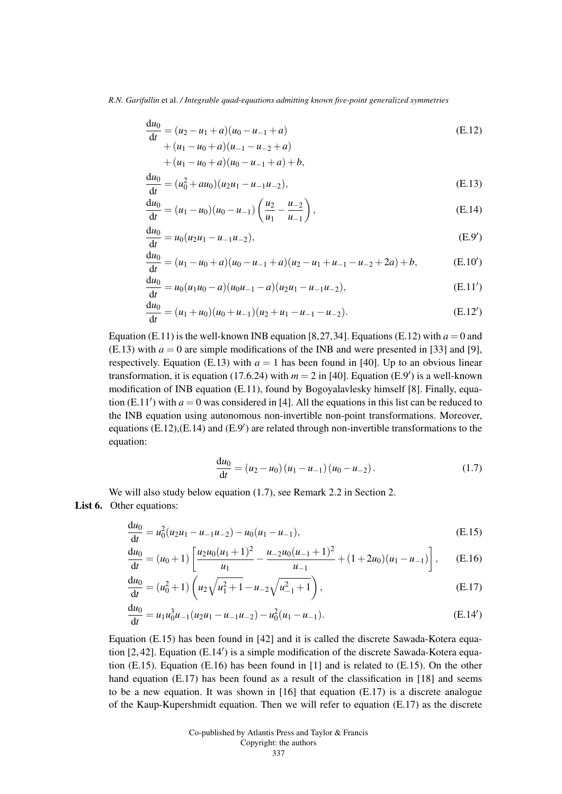$$
\frac{du_0}{dt} = (u_2 - u_1 + a)(u_0 - u_{-1} + a)
$$
  
+  $(u_1 - u_0 + a)(u_{-1} - u_{-2} + a)$  (E.12)

$$
+(u_1-u_0+a)(u_0-u_{-1}+a)+b,
$$

$$
\frac{du_0}{dt} = (u_0^2 + au_0)(u_2u_1 - u_{-1}u_{-2}),
$$
\n(E.13)

$$
\frac{du_0}{dt} = (u_1 - u_0)(u_0 - u_{-1}) \left(\frac{u_2}{u_1} - \frac{u_{-2}}{u_{-1}}\right),
$$
\n(E.14)

$$
\frac{du_0}{dt} = u_0(u_2u_1 - u_{-1}u_{-2}),
$$
\n(E.9')

$$
\frac{du_0}{dt} = (u_1 - u_0 + a)(u_0 - u_{-1} + a)(u_2 - u_1 + u_{-1} - u_{-2} + 2a) + b,\tag{E.10'}
$$

$$
\frac{du_0}{dt} = u_0(u_1u_0 - a)(u_0u_{-1} - a)(u_2u_1 - u_{-1}u_{-2}),
$$
\n(E.11')

$$
\frac{du_0}{dt} = (u_1 + u_0)(u_0 + u_{-1})(u_2 + u_1 - u_{-1} - u_{-2}).
$$
\n(E.12')

Equation (E.11) is the well-known INB equation [8,27,34]. Equations (E.12) with  $a = 0$  and  $(E.13)$  with  $a = 0$  are simple modifications of the INB and were presented in [33] and [9], respectively. Equation (E.13) with  $a = 1$  has been found in [40]. Up to an obvious linear transformation, it is equation (17.6.24) with  $m = 2$  in [40]. Equation (E.9<sup>'</sup>) is a well-known modification of INB equation (E.11), found by Bogoyalavlesky himself [8]. Finally, equation (E.11') with  $a = 0$  was considered in [4]. All the equations in this list can be reduced to the INB equation using autonomous non-invertible non-point transformations. Moreover, equations  $(E.12)$ , $(E.14)$  and  $(E.9')$  are related through non-invertible transformations to the equation:

$$
\frac{du_0}{dt} = (u_2 - u_0) (u_1 - u_{-1}) (u_0 - u_{-2}).
$$
\n(1.7)

We will also study below equation (1.7), see Remark 2.2 in Section 2. List **6.** Other equations:

$$
\frac{du_0}{dt} = u_0^2 (u_2 u_1 - u_{-1} u_{-2}) - u_0 (u_1 - u_{-1}),
$$
\n(E.15)

$$
\frac{du_0}{dt} = (u_0 + 1) \left[ \frac{u_2 u_0 (u_1 + 1)^2}{u_1} - \frac{u_{-2} u_0 (u_{-1} + 1)^2}{u_{-1}} + (1 + 2u_0)(u_1 - u_{-1}) \right], \quad (E.16)
$$

$$
\frac{du_0}{dt} = (u_0^2 + 1) \left( u_2 \sqrt{u_1^2 + 1} - u_{-2} \sqrt{u_{-1}^2 + 1} \right),
$$
\n(E.17)

$$
\frac{du_0}{dt} = u_1 u_0^3 u_{-1} (u_2 u_1 - u_{-1} u_{-2}) - u_0^2 (u_1 - u_{-1}).
$$
\n(E.14')

Equation (E.15) has been found in [42] and it is called the discrete Sawada-Kotera equation [2,42]. Equation (E.14') is a simple modification of the discrete Sawada-Kotera equation (E.15). Equation (E.16) has been found in [1] and is related to (E.15). On the other hand equation (E.17) has been found as a result of the classification in [18] and seems to be a new equation. It was shown in  $[16]$  that equation  $(E.17)$  is a discrete analogue of the Kaup-Kupershmidt equation. Then we will refer to equation (E.17) as the discrete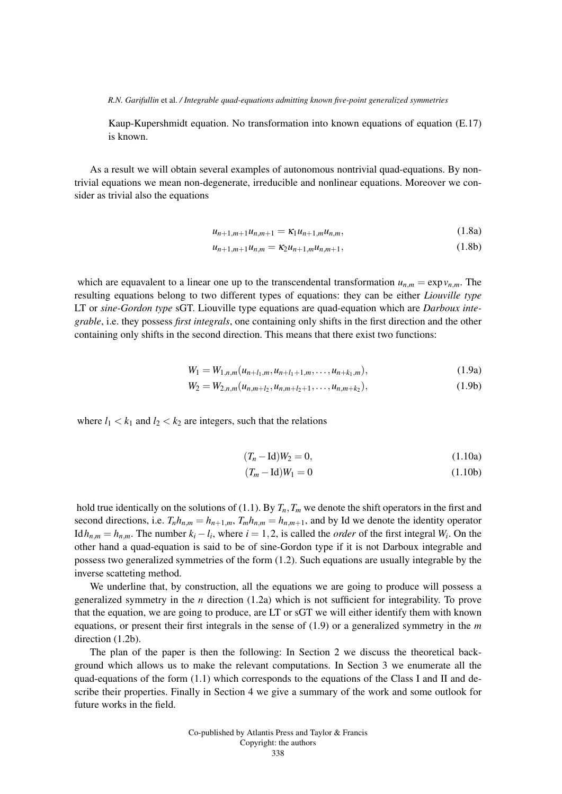Kaup-Kupershmidt equation. No transformation into known equations of equation (E.17) is known.

As a result we will obtain several examples of autonomous nontrivial quad-equations. By nontrivial equations we mean non-degenerate, irreducible and nonlinear equations. Moreover we consider as trivial also the equations

$$
u_{n+1,m+1}u_{n,m+1} = \kappa_1 u_{n+1,m}u_{n,m}, \qquad (1.8a)
$$

$$
u_{n+1,m+1}u_{n,m} = \kappa_2 u_{n+1,m}u_{n,m+1}, \qquad (1.8b)
$$

which are equavalent to a linear one up to the transcendental transformation  $u_{n,m} = \exp v_{n,m}$ . The resulting equations belong to two different types of equations: they can be either *Liouville type* LT or *sine-Gordon type* sGT. Liouville type equations are quad-equation which are *Darboux integrable*, i.e. they possess *first integrals*, one containing only shifts in the first direction and the other containing only shifts in the second direction. This means that there exist two functions:

$$
W_1 = W_{1,n,m}(u_{n+l_1,m}, u_{n+l_1+1,m}, \dots, u_{n+k_1,m}),
$$
\n(1.9a)

$$
W_2 = W_{2,n,m}(u_{n,m+l_2}, u_{n,m+l_2+1}, \dots, u_{n,m+k_2}),
$$
\n(1.9b)

where  $l_1 < k_1$  and  $l_2 < k_2$  are integers, such that the relations

$$
(T_n - \text{Id})W_2 = 0, \tag{1.10a}
$$

$$
(T_m - \text{Id})W_1 = 0 \tag{1.10b}
$$

hold true identically on the solutions of (1.1). By  $T_n$ ,  $T_m$  we denote the shift operators in the first and second directions, i.e.  $T_n h_{n,m} = h_{n+1,m}$ ,  $T_m h_{n,m} = h_{n,m+1}$ , and by Id we denote the identity operator Id  $h_{n,m} = h_{n,m}$ . The number  $k_i - l_i$ , where  $i = 1, 2$ , is called the *order* of the first integral  $W_i$ . On the other hand a quad-equation is said to be of sine-Gordon type if it is not Darboux integrable and possess two generalized symmetries of the form (1.2). Such equations are usually integrable by the inverse scatteting method.

We underline that, by construction, all the equations we are going to produce will possess a generalized symmetry in the *n* direction (1.2a) which is not sufficient for integrability. To prove that the equation, we are going to produce, are LT or sGT we will either identify them with known equations, or present their first integrals in the sense of (1.9) or a generalized symmetry in the *m* direction  $(1.2b)$ .

The plan of the paper is then the following: In Section 2 we discuss the theoretical background which allows us to make the relevant computations. In Section 3 we enumerate all the quad-equations of the form  $(1.1)$  which corresponds to the equations of the Class I and II and describe their properties. Finally in Section 4 we give a summary of the work and some outlook for future works in the field.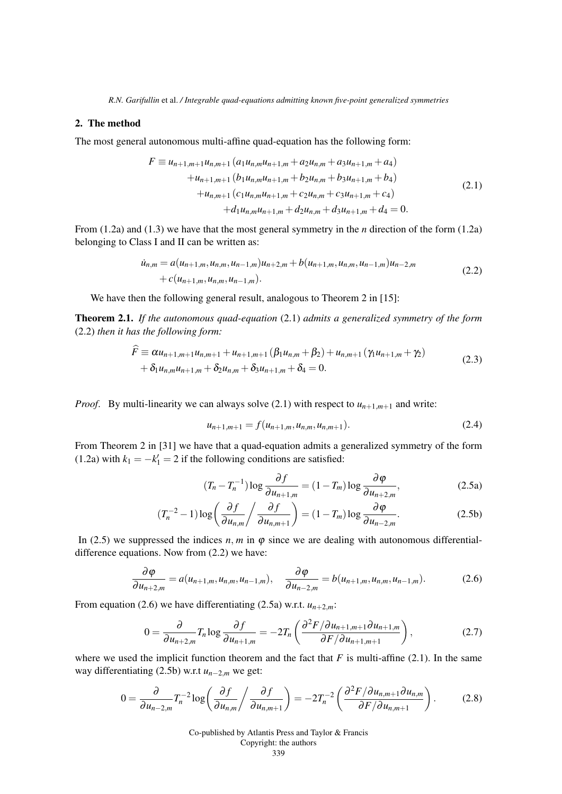## 2. The method

The most general autonomous multi-affine quad-equation has the following form:

$$
F \equiv u_{n+1,m+1}u_{n,m+1}(a_1u_{n,m}u_{n+1,m} + a_2u_{n,m} + a_3u_{n+1,m} + a_4) +u_{n+1,m+1}(b_1u_{n,m}u_{n+1,m} + b_2u_{n,m} + b_3u_{n+1,m} + b_4) +u_{n,m+1}(c_1u_{n,m}u_{n+1,m} + c_2u_{n,m} + c_3u_{n+1,m} + c_4) +d_1u_{n,m}u_{n+1,m} + d_2u_{n,m} + d_3u_{n+1,m} + d_4 = 0.
$$
\n(2.1)

From (1.2a) and (1.3) we have that the most general symmetry in the *n* direction of the form (1.2a) belonging to Class I and II can be written as:

$$
\dot{u}_{n,m} = a(u_{n+1,m}, u_{n,m}, u_{n-1,m})u_{n+2,m} + b(u_{n+1,m}, u_{n,m}, u_{n-1,m})u_{n-2,m} + c(u_{n+1,m}, u_{n,m}, u_{n-1,m}).
$$
\n(2.2)

We have then the following general result, analogous to Theorem 2 in [15]:

Theorem 2.1. *If the autonomous quad-equation* (2.1) *admits a generalized symmetry of the form* (2.2) *then it has the following form:*

$$
\hat{F} \equiv \alpha u_{n+1,m+1} u_{n,m+1} + u_{n+1,m+1} (\beta_1 u_{n,m} + \beta_2) + u_{n,m+1} (\gamma_1 u_{n+1,m} + \gamma_2) \n+ \delta_1 u_{n,m} u_{n+1,m} + \delta_2 u_{n,m} + \delta_3 u_{n+1,m} + \delta_4 = 0.
$$
\n(2.3)

*Proof.* By multi-linearity we can always solve (2.1) with respect to  $u_{n+1,m+1}$  and write:

$$
u_{n+1,m+1} = f(u_{n+1,m}, u_{n,m}, u_{n,m+1}). \tag{2.4}
$$

From Theorem 2 in [31] we have that a quad-equation admits a generalized symmetry of the form (1.2a) with  $k_1 = -k'_1 = 2$  if the following conditions are satisfied:

$$
(T_n - T_n^{-1}) \log \frac{\partial f}{\partial u_{n+1,m}} = (1 - T_m) \log \frac{\partial \varphi}{\partial u_{n+2,m}},
$$
\n(2.5a)

$$
(T_n^{-2} - 1)\log\left(\frac{\partial f}{\partial u_{n,m}}\middle/\frac{\partial f}{\partial u_{n,m+1}}\right) = (1 - T_m)\log\frac{\partial \varphi}{\partial u_{n-2,m}}.\tag{2.5b}
$$

In (2.5) we suppressed the indices  $n, m$  in  $\varphi$  since we are dealing with autonomous differentialdifference equations. Now from (2.2) we have:

$$
\frac{\partial \varphi}{\partial u_{n+2,m}} = a(u_{n+1,m}, u_{n,m}, u_{n-1,m}), \quad \frac{\partial \varphi}{\partial u_{n-2,m}} = b(u_{n+1,m}, u_{n,m}, u_{n-1,m}). \tag{2.6}
$$

From equation (2.6) we have differentiating (2.5a) w.r.t.  $u_{n+2,m}$ :

$$
0 = \frac{\partial}{\partial u_{n+2,m}} T_n \log \frac{\partial f}{\partial u_{n+1,m}} = -2T_n \left( \frac{\partial^2 F / \partial u_{n+1,m+1} \partial u_{n+1,m}}{\partial F / \partial u_{n+1,m+1}} \right),\tag{2.7}
$$

where we used the implicit function theorem and the fact that  $F$  is multi-affine (2.1). In the same way differentiating (2.5b) w.r.t *un*−2,*<sup>m</sup>* we get:

$$
0 = \frac{\partial}{\partial u_{n-2,m}} T_n^{-2} \log \left( \frac{\partial f}{\partial u_{n,m}} \middle/ \frac{\partial f}{\partial u_{n,m+1}} \right) = -2T_n^{-2} \left( \frac{\partial^2 F / \partial u_{n,m+1} \partial u_{n,m}}{\partial F / \partial u_{n,m+1}} \right). \tag{2.8}
$$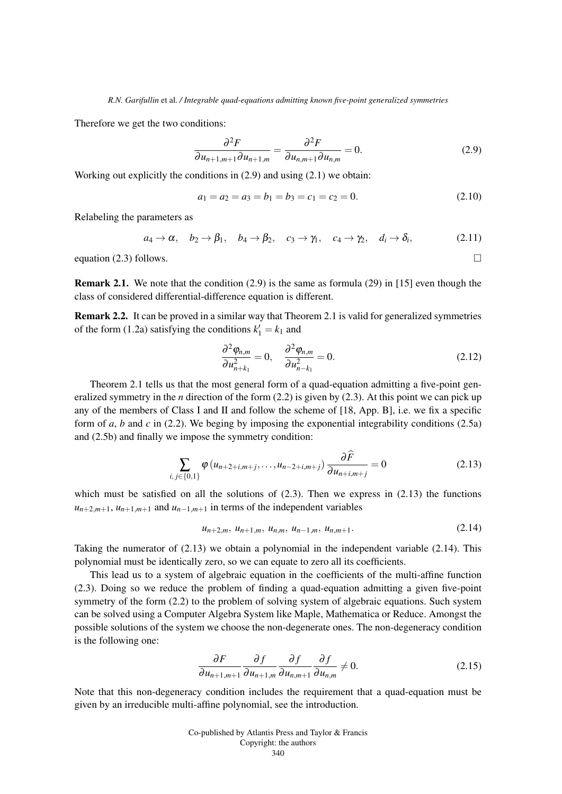Therefore we get the two conditions:

$$
\frac{\partial^2 F}{\partial u_{n+1,m+1}\partial u_{n+1,m}} = \frac{\partial^2 F}{\partial u_{n,m+1}\partial u_{n,m}} = 0.
$$
 (2.9)

Working out explicitly the conditions in (2.9) and using (2.1) we obtain:

$$
a_1 = a_2 = a_3 = b_1 = b_3 = c_1 = c_2 = 0.
$$
\n(2.10)

Relabeling the parameters as

$$
a_4 \rightarrow \alpha
$$
,  $b_2 \rightarrow \beta_1$ ,  $b_4 \rightarrow \beta_2$ ,  $c_3 \rightarrow \gamma_1$ ,  $c_4 \rightarrow \gamma_2$ ,  $d_i \rightarrow \delta_i$ , (2.11)

equation (2.3) follows.  $\Box$ 

**Remark 2.1.** We note that the condition  $(2.9)$  is the same as formula  $(29)$  in [15] even though the class of considered differential-difference equation is different.

Remark 2.2. It can be proved in a similar way that Theorem 2.1 is valid for generalized symmetries of the form (1.2a) satisfying the conditions  $k'_1 = k_1$  and

$$
\frac{\partial^2 \varphi_{n,m}}{\partial u_{n+k_1}^2} = 0, \quad \frac{\partial^2 \varphi_{n,m}}{\partial u_{n-k_1}^2} = 0.
$$
\n(2.12)

Theorem 2.1 tells us that the most general form of a quad-equation admitting a five-point generalized symmetry in the *n* direction of the form (2.2) is given by (2.3). At this point we can pick up any of the members of Class I and II and follow the scheme of [18, App. B], i.e. we fix a specific form of *a*, *b* and *c* in (2.2). We beging by imposing the exponential integrability conditions (2.5a) and (2.5b) and finally we impose the symmetry condition:

$$
\sum_{i,j \in \{0,1\}} \varphi(u_{n+2+i,m+j}, \dots, u_{n-2+i,m+j}) \frac{\partial \widehat{F}}{\partial u_{n+i,m+j}} = 0 \tag{2.13}
$$

which must be satisfied on all the solutions of  $(2.3)$ . Then we express in  $(2.13)$  the functions  $u_{n+2,m+1}$ ,  $u_{n+1,m+1}$  and  $u_{n-1,m+1}$  in terms of the independent variables

$$
u_{n+2,m}, u_{n+1,m}, u_{n,m}, u_{n-1,m}, u_{n,m+1}.
$$
\n(2.14)

Taking the numerator of  $(2.13)$  we obtain a polynomial in the independent variable  $(2.14)$ . This polynomial must be identically zero, so we can equate to zero all its coefficients.

This lead us to a system of algebraic equation in the coefficients of the multi-affine function (2.3). Doing so we reduce the problem of finding a quad-equation admitting a given five-point symmetry of the form (2.2) to the problem of solving system of algebraic equations. Such system can be solved using a Computer Algebra System like Maple, Mathematica or Reduce. Amongst the possible solutions of the system we choose the non-degenerate ones. The non-degeneracy condition is the following one:

$$
\frac{\partial F}{\partial u_{n+1,m+1}} \frac{\partial f}{\partial u_{n+1,m}} \frac{\partial f}{\partial u_{n,m+1}} \frac{\partial f}{\partial u_{n,m}} \neq 0.
$$
 (2.15)

Note that this non-degeneracy condition includes the requirement that a quad-equation must be given by an irreducible multi-affine polynomial, see the introduction.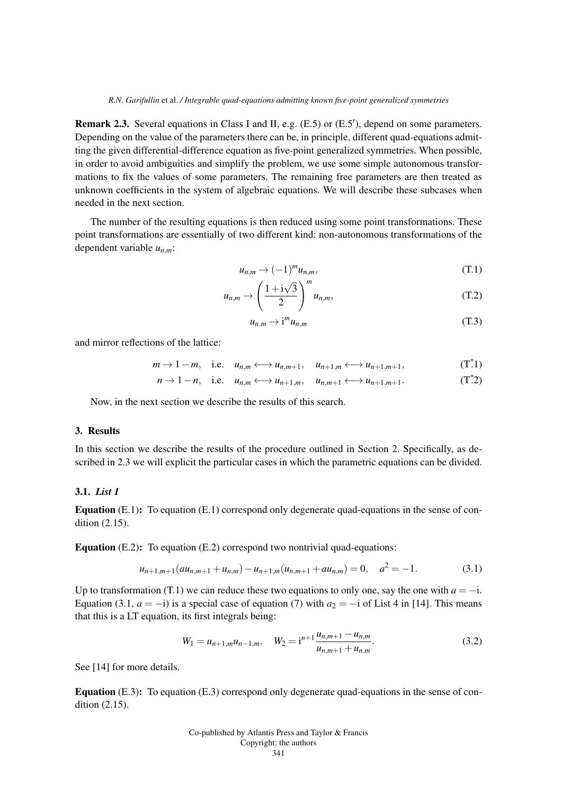Remark 2.3. Several equations in Class I and II, e.g. (E.5) or (E.5'), depend on some parameters. Depending on the value of the parameters there can be, in principle, different quad-equations admitting the given differential-difference equation as five-point generalized symmetries. When possible, in order to avoid ambiguities and simplify the problem, we use some simple autonomous transformations to fix the values of some parameters. The remaining free parameters are then treated as unknown coefficients in the system of algebraic equations. We will describe these subcases when needed in the next section.

The number of the resulting equations is then reduced using some point transformations. These point transformations are essentially of two different kind: non-autonomous transformations of the dependent variable *un*,*m*:

$$
u_{n,m} \to (-1)^m u_{n,m}, \tag{T.1}
$$

$$
u_{n,m} \to \left(\frac{1+\mathrm{i}\sqrt{3}}{2}\right)^m u_{n,m},\tag{T.2}
$$

$$
u_{n,m} \to i^m u_{n,m} \tag{T.3}
$$

and mirror reflections of the lattice:

$$
m \to 1-m
$$
, i.e.  $u_{n,m} \longleftrightarrow u_{n,m+1}$ ,  $u_{n+1,m} \longleftrightarrow u_{n+1,m+1}$ ,  $(T^*1)$ 

$$
n \to 1-n, \quad \text{i.e.} \quad u_{n,m} \longleftrightarrow u_{n+1,m}, \quad u_{n,m+1} \longleftrightarrow u_{n+1,m+1}. \tag{T*2}
$$

Now, in the next section we describe the results of this search.

### 3. Results

In this section we describe the results of the procedure outlined in Section 2. Specifically, as described in 2.3 we will explicit the particular cases in which the parametric equations can be divided.

## 3.1. *List 1*

Equation (E.1): To equation (E.1) correspond only degenerate quad-equations in the sense of condition (2.15).

Equation (E.2): To equation (E.2) correspond two nontrivial quad-equations:

$$
u_{n+1,m+1}(au_{n,m+1} + u_{n,m}) - u_{n+1,m}(u_{n,m+1} + au_{n,m}) = 0, \quad a^2 = -1.
$$
 (3.1)

Up to transformation (T.1) we can reduce these two equations to only one, say the one with  $a = -i$ . Equation (3.1,  $a = -i$ ) is a special case of equation (7) with  $a_2 = -i$  of List 4 in [14]. This means that this is a LT equation, its first integrals being:

$$
W_1 = u_{n+1,m}u_{n-1,m}, \quad W_2 = i^{n+1} \frac{u_{n,m+1} - u_{n,m}}{u_{n,m+1} + u_{n,m}}.
$$
\n(3.2)

See [14] for more details.

Equation (E.3): To equation (E.3) correspond only degenerate quad-equations in the sense of condition (2.15).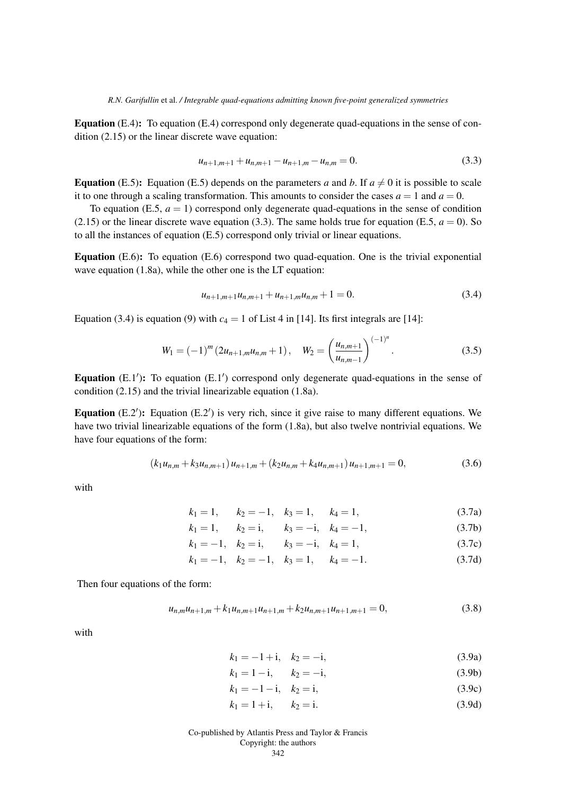Equation (E.4): To equation (E.4) correspond only degenerate quad-equations in the sense of condition (2.15) or the linear discrete wave equation:

$$
u_{n+1,m+1} + u_{n,m+1} - u_{n+1,m} - u_{n,m} = 0.
$$
\n(3.3)

**Equation** (E.5): Equation (E.5) depends on the parameters *a* and *b*. If  $a \neq 0$  it is possible to scale it to one through a scaling transformation. This amounts to consider the cases  $a = 1$  and  $a = 0$ .

To equation (E.5,  $a = 1$ ) correspond only degenerate quad-equations in the sense of condition  $(2.15)$  or the linear discrete wave equation (3.3). The same holds true for equation (E.5,  $a = 0$ ). So to all the instances of equation (E.5) correspond only trivial or linear equations.

**Equation** (E.6): To equation (E.6) correspond two quad-equation. One is the trivial exponential wave equation (1.8a), while the other one is the LT equation:

$$
u_{n+1,m+1}u_{n,m+1} + u_{n+1,m}u_{n,m} + 1 = 0.
$$
\n(3.4)

Equation (3.4) is equation (9) with  $c_4 = 1$  of List 4 in [14]. Its first integrals are [14]:

$$
W_1 = (-1)^m (2u_{n+1,m}u_{n,m} + 1), \quad W_2 = \left(\frac{u_{n,m+1}}{u_{n,m-1}}\right)^{(-1)^n}.
$$
 (3.5)

Equation  $(E.1')$ : To equation  $(E.1')$  correspond only degenerate quad-equations in the sense of condition (2.15) and the trivial linearizable equation (1.8a).

Equation  $(E.2')$ : Equation  $(E.2')$  is very rich, since it give raise to many different equations. We have two trivial linearizable equations of the form (1.8a), but also twelve nontrivial equations. We have four equations of the form:

$$
(k_1u_{n,m} + k_3u_{n,m+1})u_{n+1,m} + (k_2u_{n,m} + k_4u_{n,m+1})u_{n+1,m+1} = 0,
$$
\n(3.6)

with

$$
k_1 = 1, \qquad k_2 = -1, \quad k_3 = 1, \qquad k_4 = 1,\tag{3.7a}
$$

$$
k_1 = 1,
$$
  $k_2 = i,$   $k_3 = -i,$   $k_4 = -1,$  (3.7b)

$$
k_1 = -1, \quad k_2 = i, \quad k_3 = -i, \quad k_4 = 1,
$$
 (3.7c)

$$
k_1 = -1, \quad k_2 = -1, \quad k_3 = 1, \quad k_4 = -1.
$$
 (3.7d)

Then four equations of the form:

$$
u_{n,m}u_{n+1,m} + k_1 u_{n,m+1}u_{n+1,m} + k_2 u_{n,m+1}u_{n+1,m+1} = 0,
$$
\n(3.8)

with

$$
k_1 = -1 + i, \quad k_2 = -i,\tag{3.9a}
$$

$$
k_1 = 1 - i, \qquad k_2 = -i,\tag{3.9b}
$$

$$
k_1 = -1 - i, \quad k_2 = i,\tag{3.9c}
$$

$$
k_1 = 1 + i, \qquad k_2 = i. \tag{3.9d}
$$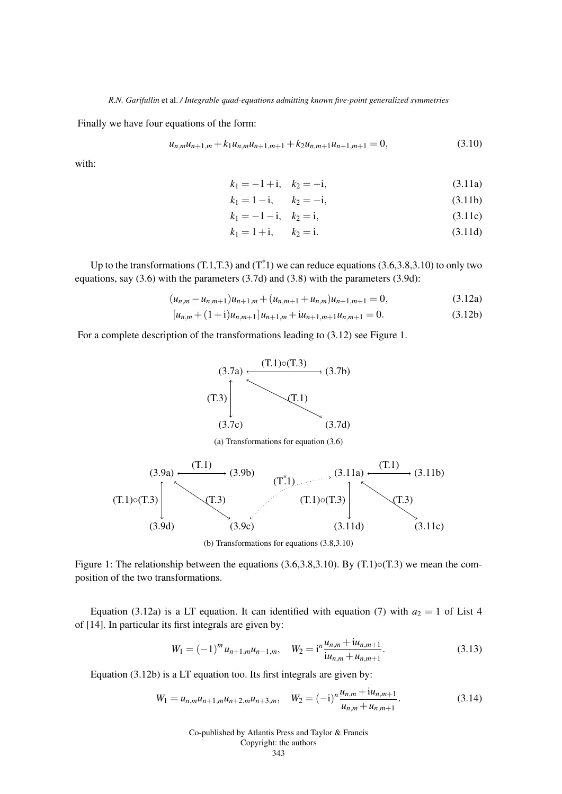Finally we have four equations of the form:

$$
u_{n,m}u_{n+1,m} + k_1 u_{n,m}u_{n+1,m+1} + k_2 u_{n,m+1}u_{n+1,m+1} = 0,
$$
\n(3.10)

with:

$$
k_1 = -1 + i, \quad k_2 = -i,\tag{3.11a}
$$

$$
k_1 = 1 - i, \qquad k_2 = -i,\tag{3.11b}
$$

$$
k_1 = -1 - i, \quad k_2 = i,\tag{3.11c}
$$

$$
k_1 = 1 + i, \qquad k_2 = i. \tag{3.11d}
$$

Up to the transformations (T.1,T.3) and (T<sup>\*</sup>.1) we can reduce equations (3.6,3.8,3.10) to only two equations, say (3.6) with the parameters (3.7d) and (3.8) with the parameters (3.9d):

$$
(u_{n,m} - u_{n,m+1})u_{n+1,m} + (u_{n,m+1} + u_{n,m})u_{n+1,m+1} = 0,
$$
\n(3.12a)

$$
[u_{n,m} + (1+i)u_{n,m+1}]u_{n+1,m} + iu_{n+1,m+1}u_{n,m+1} = 0.
$$
 (3.12b)

For a complete description of the transformations leading to (3.12) see Figure 1.



(a) Transformations for equation (3.6)



(b) Transformations for equations (3.8,3.10)

Figure 1: The relationship between the equations  $(3.6, 3.8, 3.10)$ . By  $(T.1) \circ (T.3)$  we mean the composition of the two transformations.

Equation (3.12a) is a LT equation. It can identified with equation (7) with  $a_2 = 1$  of List 4 of [14]. In particular its first integrals are given by:

$$
W_1 = (-1)^m u_{n+1,m} u_{n-1,m}, \quad W_2 = i^n \frac{u_{n,m} + i u_{n,m+1}}{i u_{n,m} + u_{n,m+1}}.
$$
\n(3.13)

Equation (3.12b) is a LT equation too. Its first integrals are given by:

$$
W_1 = u_{n,m}u_{n+1,m}u_{n+2,m}u_{n+3,m}, \quad W_2 = (-i)^n \frac{u_{n,m} + i u_{n,m+1}}{u_{n,m} + u_{n,m+1}}.
$$
\n(3.14)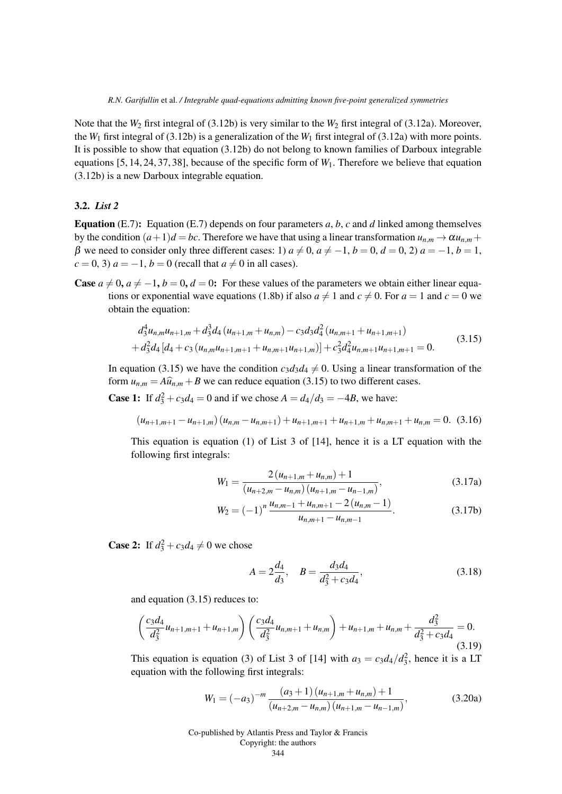Note that the  $W_2$  first integral of (3.12b) is very similar to the  $W_2$  first integral of (3.12a). Moreover, the  $W_1$  first integral of (3.12b) is a generalization of the  $W_1$  first integral of (3.12a) with more points. It is possible to show that equation (3.12b) do not belong to known families of Darboux integrable equations [5, 14, 24, 37, 38], because of the specific form of *W*1. Therefore we believe that equation (3.12b) is a new Darboux integrable equation.

## 3.2. *List 2*

**Equation** (E.7): Equation (E.7) depends on four parameters *a*, *b*, *c* and *d* linked among themselves by the condition  $(a+1)d = bc$ . Therefore we have that using a linear transformation  $u_{n,m} \to \alpha u_{n,m} + c$ β we need to consider only three different cases: 1)  $a \neq 0$ ,  $a \neq -1$ ,  $b = 0$ ,  $d = 0$ , 2)  $a = -1$ ,  $b = 1$ ,  $c = 0, 3$  *a* = −1, *b* = 0 (recall that *a*  $\neq$  0 in all cases).

**Case**  $a \neq 0$ ,  $a \neq -1$ ,  $b = 0$ ,  $d = 0$ : For these values of the parameters we obtain either linear equations or exponential wave equations (1.8b) if also  $a \neq 1$  and  $c \neq 0$ . For  $a = 1$  and  $c = 0$  we obtain the equation:

$$
d_3^4 u_{n,m} u_{n+1,m} + d_3^3 d_4 (u_{n+1,m} + u_{n,m}) - c_3 d_3 d_4^2 (u_{n,m+1} + u_{n+1,m+1})
$$
  
+ 
$$
d_3^2 d_4 [d_4 + c_3 (u_{n,m} u_{n+1,m+1} + u_{n,m+1} u_{n+1,m})] + c_3^2 d_4^2 u_{n,m+1} u_{n+1,m+1} = 0.
$$
 (3.15)

In equation (3.15) we have the condition  $c_3d_3d_4 \neq 0$ . Using a linear transformation of the form  $u_{n,m} = A\hat{u}_{n,m} + B$  we can reduce equation (3.15) to two different cases.

**Case 1:** If  $d_3^2 + c_3d_4 = 0$  and if we chose  $A = d_4/d_3 = -4B$ , we have:

$$
(u_{n+1,m+1} - u_{n+1,m}) (u_{n,m} - u_{n,m+1}) + u_{n+1,m+1} + u_{n+1,m} + u_{n,m+1} + u_{n,m} = 0.
$$
 (3.16)

This equation is equation (1) of List 3 of [14], hence it is a LT equation with the following first integrals:

$$
W_1 = \frac{2 (u_{n+1,m} + u_{n,m}) + 1}{(u_{n+2,m} - u_{n,m}) (u_{n+1,m} - u_{n-1,m})},
$$
\n(3.17a)

$$
W_2 = (-1)^n \frac{u_{n,m-1} + u_{n,m+1} - 2(u_{n,m} - 1)}{u_{n,m+1} - u_{n,m-1}}.
$$
 (3.17b)

**Case 2:** If  $d_3^2 + c_3 d_4 \neq 0$  we chose

$$
A = 2\frac{d_4}{d_3}, \quad B = \frac{d_3 d_4}{d_3^2 + c_3 d_4},\tag{3.18}
$$

and equation (3.15) reduces to:

$$
\left(\frac{c_3d_4}{d_3^2}u_{n+1,m+1} + u_{n+1,m}\right)\left(\frac{c_3d_4}{d_3^2}u_{n,m+1} + u_{n,m}\right) + u_{n+1,m} + u_{n,m} + \frac{d_3^2}{d_3^2 + c_3d_4} = 0.
$$
\n(3.19)

This equation is equation (3) of List 3 of [14] with  $a_3 = c_3 d_4 / d_3^2$ , hence it is a LT equation with the following first integrals:

$$
W_1 = (-a_3)^{-m} \frac{(a_3 + 1) (u_{n+1,m} + u_{n,m}) + 1}{(u_{n+2,m} - u_{n,m}) (u_{n+1,m} - u_{n-1,m})},
$$
(3.20a)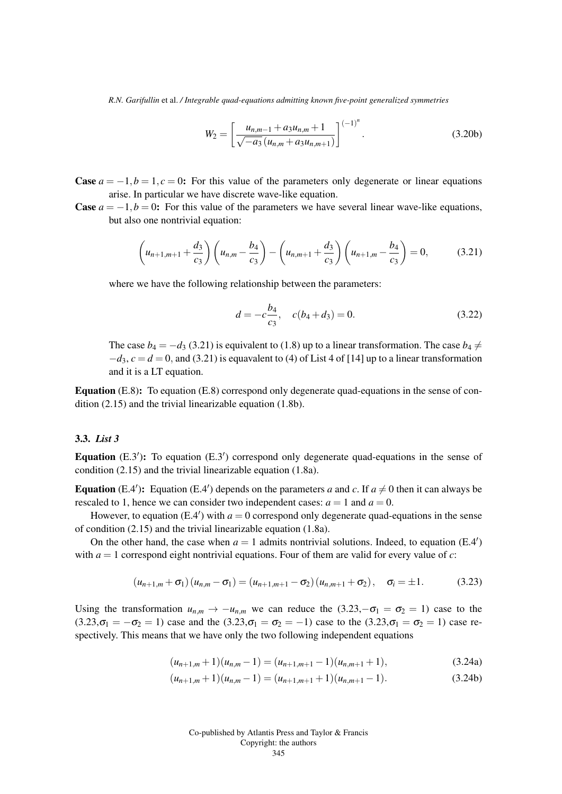$$
W_2 = \left[\frac{u_{n,m-1} + a_3 u_{n,m} + 1}{\sqrt{-a_3} \left(u_{n,m} + a_3 u_{n,m+1}\right)}\right]^{(-1)^n}.
$$
\n(3.20b)

**Case**  $a = -1, b = 1, c = 0$ : For this value of the parameters only degenerate or linear equations arise. In particular we have discrete wave-like equation.

**Case**  $a = -1, b = 0$ : For this value of the parameters we have several linear wave-like equations, but also one nontrivial equation:

$$
\left(u_{n+1,m+1} + \frac{d_3}{c_3}\right)\left(u_{n,m} - \frac{b_4}{c_3}\right) - \left(u_{n,m+1} + \frac{d_3}{c_3}\right)\left(u_{n+1,m} - \frac{b_4}{c_3}\right) = 0, \tag{3.21}
$$

where we have the following relationship between the parameters:

$$
d = -c\frac{b_4}{c_3}, \quad c(b_4 + d_3) = 0. \tag{3.22}
$$

The case  $b_4 = -d_3$  (3.21) is equivalent to (1.8) up to a linear transformation. The case  $b_4 \neq$  $-d_3$ ,  $c = d = 0$ , and (3.21) is equavalent to (4) of List 4 of [14] up to a linear transformation and it is a LT equation.

Equation (E.8): To equation (E.8) correspond only degenerate quad-equations in the sense of condition (2.15) and the trivial linearizable equation (1.8b).

## 3.3. *List 3*

Equation  $(E.3')$ : To equation  $(E.3')$  correspond only degenerate quad-equations in the sense of condition (2.15) and the trivial linearizable equation (1.8a).

**Equation** (E.4'): Equation (E.4') depends on the parameters *a* and *c*. If  $a \neq 0$  then it can always be rescaled to 1, hence we can consider two independent cases:  $a = 1$  and  $a = 0$ .

However, to equation  $(E.4')$  with  $a = 0$  correspond only degenerate quad-equations in the sense of condition (2.15) and the trivial linearizable equation (1.8a).

On the other hand, the case when  $a = 1$  admits nontrivial solutions. Indeed, to equation  $(E.4')$ with  $a = 1$  correspond eight nontrivial equations. Four of them are valid for every value of *c*:

$$
(u_{n+1,m} + \sigma_1)(u_{n,m} - \sigma_1) = (u_{n+1,m+1} - \sigma_2)(u_{n,m+1} + \sigma_2), \quad \sigma_i = \pm 1. \tag{3.23}
$$

Using the transformation  $u_{n,m} \to -u_{n,m}$  we can reduce the (3.23, $-\sigma_1 = \sigma_2 = 1$ ) case to the  $(3.23, \sigma_1 = -\sigma_2 = 1)$  case and the  $(3.23, \sigma_1 = \sigma_2 = -1)$  case to the  $(3.23, \sigma_1 = \sigma_2 = 1)$  case respectively. This means that we have only the two following independent equations

$$
(u_{n+1,m}+1)(u_{n,m}-1)=(u_{n+1,m+1}-1)(u_{n,m+1}+1),
$$
\n(3.24a)

$$
(u_{n+1,m}+1)(u_{n,m}-1) = (u_{n+1,m+1}+1)(u_{n,m+1}-1). \tag{3.24b}
$$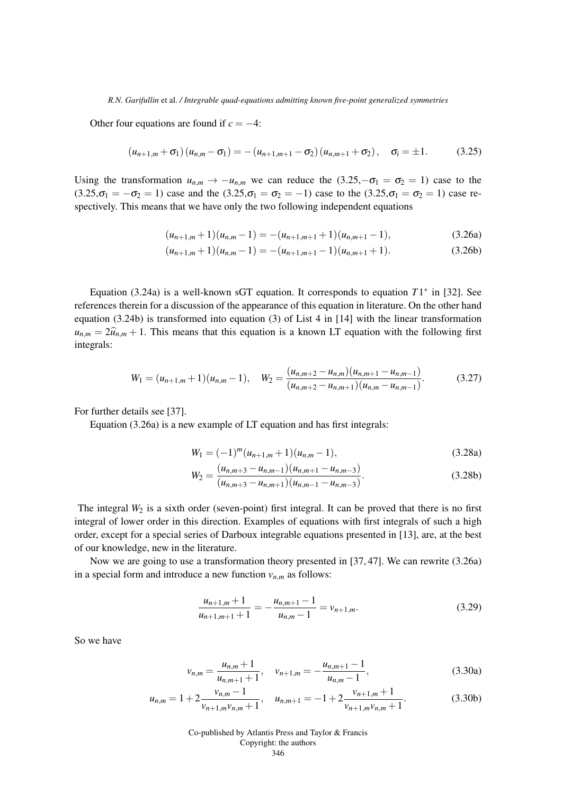Other four equations are found if  $c = -4$ :

$$
(u_{n+1,m} + \sigma_1)(u_{n,m} - \sigma_1) = -(u_{n+1,m+1} - \sigma_2)(u_{n,m+1} + \sigma_2), \quad \sigma_i = \pm 1. \tag{3.25}
$$

Using the transformation  $u_{n,m} \to -u_{n,m}$  we can reduce the  $(3.25, -\sigma_1 = \sigma_2 = 1)$  case to the  $(3.25,\sigma_1 = -\sigma_2 = 1)$  case and the  $(3.25,\sigma_1 = \sigma_2 = -1)$  case to the  $(3.25,\sigma_1 = \sigma_2 = 1)$  case respectively. This means that we have only the two following independent equations

$$
(u_{n+1,m}+1)(u_{n,m}-1) = -(u_{n+1,m+1}+1)(u_{n,m+1}-1),
$$
\n(3.26a)

$$
(u_{n+1,m}+1)(u_{n,m}-1) = -(u_{n+1,m+1}-1)(u_{n,m+1}+1).
$$
 (3.26b)

Equation (3.24a) is a well-known sGT equation. It corresponds to equation  $T1^*$  in [32]. See references therein for a discussion of the appearance of this equation in literature. On the other hand equation (3.24b) is transformed into equation (3) of List 4 in [14] with the linear transformation  $u_{n,m} = 2\hat{u}_{n,m} + 1$ . This means that this equation is a known LT equation with the following first integrals:

$$
W_1 = (u_{n+1,m}+1)(u_{n,m}-1), \quad W_2 = \frac{(u_{n,m+2}-u_{n,m})(u_{n,m+1}-u_{n,m-1})}{(u_{n,m+2}-u_{n,m+1})(u_{n,m}-u_{n,m-1})}.
$$
(3.27)

For further details see [37].

Equation (3.26a) is a new example of LT equation and has first integrals:

$$
W_1 = (-1)^m (u_{n+1,m} + 1)(u_{n,m} - 1),
$$
\n(3.28a)

$$
W_2 = \frac{(u_{n,m+3} - u_{n,m-1})(u_{n,m+1} - u_{n,m-3})}{(u_{n,m+3} - u_{n,m+1})(u_{n,m-1} - u_{n,m-3})}.
$$
\n(3.28b)

The integral  $W_2$  is a sixth order (seven-point) first integral. It can be proved that there is no first integral of lower order in this direction. Examples of equations with first integrals of such a high order, except for a special series of Darboux integrable equations presented in [13], are, at the best of our knowledge, new in the literature.

Now we are going to use a transformation theory presented in [37, 47]. We can rewrite (3.26a) in a special form and introduce a new function  $v_{n,m}$  as follows:

$$
\frac{u_{n+1,m}+1}{u_{n+1,m+1}+1} = -\frac{u_{n,m+1}-1}{u_{n,m}-1} = v_{n+1,m}.
$$
\n(3.29)

So we have

$$
v_{n,m} = \frac{u_{n,m} + 1}{u_{n,m+1} + 1}, \quad v_{n+1,m} = -\frac{u_{n,m+1} - 1}{u_{n,m} - 1},
$$
\n(3.30a)

$$
u_{n,m} = 1 + 2 \frac{v_{n,m} - 1}{v_{n+1,m}v_{n,m} + 1}, \quad u_{n,m+1} = -1 + 2 \frac{v_{n+1,m} + 1}{v_{n+1,m}v_{n,m} + 1}.
$$
 (3.30b)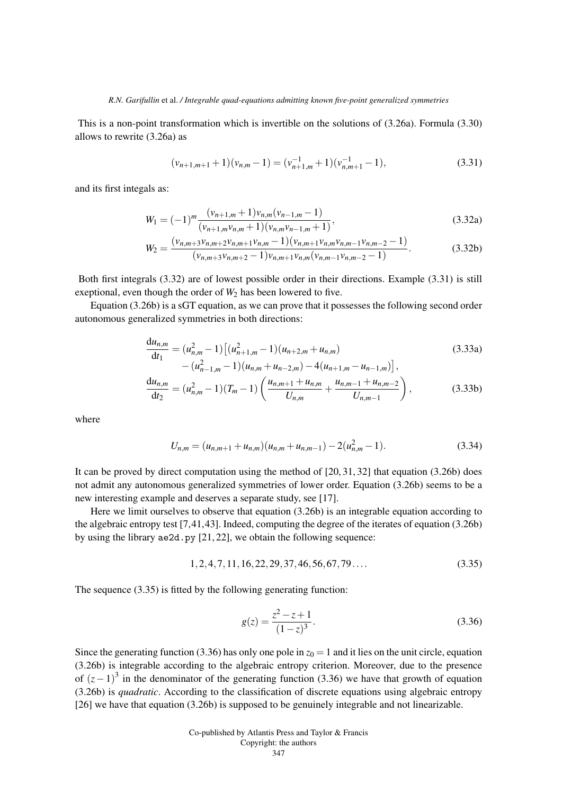This is a non-point transformation which is invertible on the solutions of (3.26a). Formula (3.30) allows to rewrite (3.26a) as

$$
(\nu_{n+1,m+1}+1)(\nu_{n,m}-1)=(\nu_{n+1,m}^{-1}+1)(\nu_{n,m+1}^{-1}-1), \qquad (3.31)
$$

and its first integals as:

$$
W_1 = (-1)^m \frac{(v_{n+1,m} + 1)v_{n,m}(v_{n-1,m} - 1)}{(v_{n+1,m}v_{n,m} + 1)(v_{n,m}v_{n-1,m} + 1)},
$$
\n(3.32a)

$$
W_2 = \frac{(v_{n,m+3}v_{n,m+2}v_{n,m+1}v_{n,m}-1)(v_{n,m+1}v_{n,m}v_{n,m-1}v_{n,m-2}-1)}{(v_{n,m+3}v_{n,m+2}-1)v_{n,m+1}v_{n,m}(v_{n,m-1}v_{n,m-2}-1)}.
$$
(3.32b)

Both first integrals (3.32) are of lowest possible order in their directions. Example (3.31) is still exeptional, even though the order of  $W_2$  has been lowered to five.

Equation (3.26b) is a sGT equation, as we can prove that it possesses the following second order autonomous generalized symmetries in both directions:

$$
\frac{du_{n,m}}{dt_1} = (u_{n,m}^2 - 1) \left[ (u_{n+1,m}^2 - 1)(u_{n+2,m} + u_{n,m}) - (u_{n-1,m}^2 - 1)(u_{n,m} + u_{n-2,m}) - 4(u_{n+1,m} - u_{n-1,m}) \right],
$$
\n(3.33a)

$$
\frac{du_{n,m}}{dt_2} = (u_{n,m}^2 - 1)(T_m - 1) \left( \frac{u_{n,m+1} + u_{n,m}}{U_{n,m}} + \frac{u_{n,m-1} + u_{n,m-2}}{U_{n,m-1}} \right),
$$
(3.33b)

where

$$
U_{n,m} = (u_{n,m+1} + u_{n,m})(u_{n,m} + u_{n,m-1}) - 2(u_{n,m}^2 - 1).
$$
 (3.34)

It can be proved by direct computation using the method of [20, 31, 32] that equation (3.26b) does not admit any autonomous generalized symmetries of lower order. Equation (3.26b) seems to be a new interesting example and deserves a separate study, see [17].

Here we limit ourselves to observe that equation (3.26b) is an integrable equation according to the algebraic entropy test [7,41,43]. Indeed, computing the degree of the iterates of equation (3.26b) by using the library ae2d.py [21, 22], we obtain the following sequence:

$$
1, 2, 4, 7, 11, 16, 22, 29, 37, 46, 56, 67, 79\dots \tag{3.35}
$$

The sequence (3.35) is fitted by the following generating function:

$$
g(z) = \frac{z^2 - z + 1}{(1 - z)^3}.
$$
\n(3.36)

Since the generating function (3.36) has only one pole in  $z_0 = 1$  and it lies on the unit circle, equation (3.26b) is integrable according to the algebraic entropy criterion. Moreover, due to the presence of  $(z-1)^3$  in the denominator of the generating function (3.36) we have that growth of equation (3.26b) is *quadratic*. According to the classification of discrete equations using algebraic entropy [26] we have that equation (3.26b) is supposed to be genuinely integrable and not linearizable.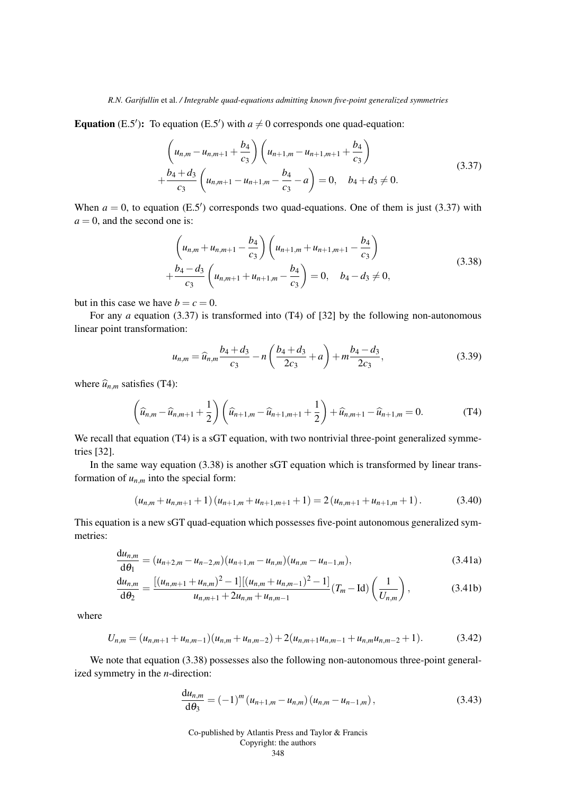**Equation** (E.5'): To equation (E.5') with  $a \neq 0$  corresponds one quad-equation:

$$
\left(u_{n,m} - u_{n,m+1} + \frac{b_4}{c_3}\right) \left(u_{n+1,m} - u_{n+1,m+1} + \frac{b_4}{c_3}\right) + \frac{b_4 + d_3}{c_3} \left(u_{n,m+1} - u_{n+1,m} - \frac{b_4}{c_3} - a\right) = 0, \quad b_4 + d_3 \neq 0.
$$
\n(3.37)

When  $a = 0$ , to equation (E.5<sup>'</sup>) corresponds two quad-equations. One of them is just (3.37) with  $a = 0$ , and the second one is:

$$
\left(u_{n,m} + u_{n,m+1} - \frac{b_4}{c_3}\right) \left(u_{n+1,m} + u_{n+1,m+1} - \frac{b_4}{c_3}\right) + \frac{b_4 - d_3}{c_3} \left(u_{n,m+1} + u_{n+1,m} - \frac{b_4}{c_3}\right) = 0, \quad b_4 - d_3 \neq 0,
$$
\n(3.38)

but in this case we have  $b = c = 0$ .

For any *a* equation (3.37) is transformed into (T4) of [32] by the following non-autonomous linear point transformation:

$$
u_{n,m} = \widehat{u}_{n,m} \frac{b_4 + d_3}{c_3} - n \left( \frac{b_4 + d_3}{2c_3} + a \right) + m \frac{b_4 - d_3}{2c_3},
$$
\n(3.39)

where  $\hat{u}_{n,m}$  satisfies (T4):

$$
\left(\widehat{u}_{n,m} - \widehat{u}_{n,m+1} + \frac{1}{2}\right) \left(\widehat{u}_{n+1,m} - \widehat{u}_{n+1,m+1} + \frac{1}{2}\right) + \widehat{u}_{n,m+1} - \widehat{u}_{n+1,m} = 0.
$$
 (T4)

We recall that equation (T4) is a sGT equation, with two nontrivial three-point generalized symmetries [32].

In the same way equation (3.38) is another sGT equation which is transformed by linear transformation of  $u_{n,m}$  into the special form:

$$
(u_{n,m}+u_{n,m+1}+1)(u_{n+1,m}+u_{n+1,m+1}+1)=2(u_{n,m+1}+u_{n+1,m}+1).
$$
 (3.40)

This equation is a new sGT quad-equation which possesses five-point autonomous generalized symmetries:

$$
\frac{du_{n,m}}{d\theta_1} = (u_{n+2,m} - u_{n-2,m})(u_{n+1,m} - u_{n,m})(u_{n,m} - u_{n-1,m}),
$$
\n(3.41a)

$$
\frac{du_{n,m}}{d\theta_2} = \frac{\left[ (u_{n,m+1} + u_{n,m})^2 - 1 \right] \left[ (u_{n,m} + u_{n,m-1})^2 - 1 \right]}{u_{n,m+1} + 2u_{n,m} + u_{n,m-1}} (T_m - \text{Id}) \left( \frac{1}{U_{n,m}} \right),\tag{3.41b}
$$

where

$$
U_{n,m} = (u_{n,m+1} + u_{n,m-1})(u_{n,m} + u_{n,m-2}) + 2(u_{n,m+1}u_{n,m-1} + u_{n,m}u_{n,m-2} + 1).
$$
 (3.42)

We note that equation (3.38) possesses also the following non-autonomous three-point generalized symmetry in the *n*-direction:

$$
\frac{du_{n,m}}{d\theta_3} = (-1)^m (u_{n+1,m} - u_{n,m}) (u_{n,m} - u_{n-1,m}),
$$
\n(3.43)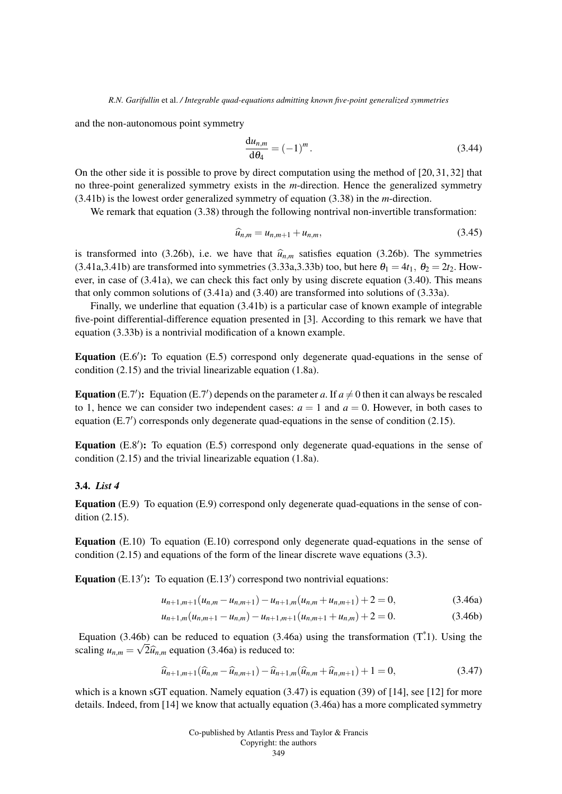and the non-autonomous point symmetry

$$
\frac{\mathrm{d}u_{n,m}}{\mathrm{d}\theta_4} = (-1)^m. \tag{3.44}
$$

On the other side it is possible to prove by direct computation using the method of [20, 31, 32] that no three-point generalized symmetry exists in the *m*-direction. Hence the generalized symmetry (3.41b) is the lowest order generalized symmetry of equation (3.38) in the *m*-direction.

We remark that equation (3.38) through the following nontrival non-invertible transformation:

$$
\widehat{u}_{n,m} = u_{n,m+1} + u_{n,m},\tag{3.45}
$$

is transformed into (3.26b), i.e. we have that  $\hat{u}_{n,m}$  satisfies equation (3.26b). The symmetries  $(3.41a,3.41b)$  are transformed into symmetries  $(3.33a,3.33b)$  too, but here  $\theta_1 = 4t_1$ ,  $\theta_2 = 2t_2$ . However, in case of (3.41a), we can check this fact only by using discrete equation (3.40). This means that only common solutions of (3.41a) and (3.40) are transformed into solutions of (3.33a).

Finally, we underline that equation (3.41b) is a particular case of known example of integrable five-point differential-difference equation presented in [3]. According to this remark we have that equation (3.33b) is a nontrivial modification of a known example.

Equation  $(E.6')$ : To equation  $(E.5)$  correspond only degenerate quad-equations in the sense of condition (2.15) and the trivial linearizable equation (1.8a).

**Equation** (E.7'): Equation (E.7') depends on the parameter *a*. If  $a \neq 0$  then it can always be rescaled to 1, hence we can consider two independent cases:  $a = 1$  and  $a = 0$ . However, in both cases to equation (E.7') corresponds only degenerate quad-equations in the sense of condition (2.15).

Equation  $(E.8')$ : To equation  $(E.5)$  correspond only degenerate quad-equations in the sense of condition (2.15) and the trivial linearizable equation (1.8a).

## 3.4. *List 4*

Equation (E.9) To equation (E.9) correspond only degenerate quad-equations in the sense of condition (2.15).

Equation (E.10) To equation (E.10) correspond only degenerate quad-equations in the sense of condition (2.15) and equations of the form of the linear discrete wave equations (3.3).

Equation  $(E.13')$ : To equation  $(E.13')$  correspond two nontrivial equations:

$$
u_{n+1,m+1}(u_{n,m}-u_{n,m+1})-u_{n+1,m}(u_{n,m}+u_{n,m+1})+2=0,
$$
\n(3.46a)

$$
u_{n+1,m}(u_{n,m+1}-u_{n,m})-u_{n+1,m+1}(u_{n,m+1}+u_{n,m})+2=0.
$$
\n(3.46b)

Equation (3.46b) can be reduced to equation (3.46a) using the transformation (T<sup>\*</sup>.1). Using the scaling  $u_{n,m} = \sqrt{2\hat{u}_{n,m}}$  equation (3.46a) is reduced to:

$$
\widehat{u}_{n+1,m+1}(\widehat{u}_{n,m}-\widehat{u}_{n,m+1})-\widehat{u}_{n+1,m}(\widehat{u}_{n,m}+\widehat{u}_{n,m+1})+1=0,
$$
\n(3.47)

which is a known sGT equation. Namely equation  $(3.47)$  is equation  $(39)$  of [14], see [12] for more details. Indeed, from [14] we know that actually equation (3.46a) has a more complicated symmetry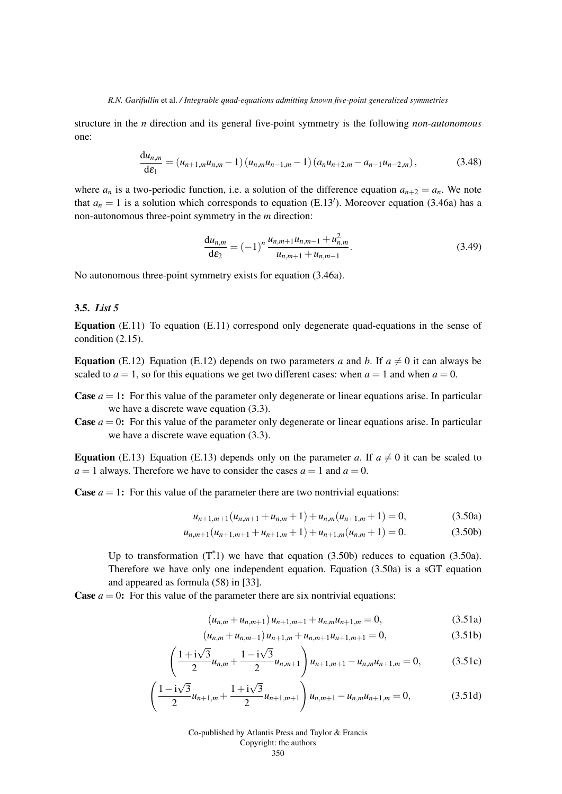structure in the *n* direction and its general five-point symmetry is the following *non-autonomous* one:

$$
\frac{du_{n,m}}{d\varepsilon_1} = (u_{n+1,m}u_{n,m} - 1) (u_{n,m}u_{n-1,m} - 1) (a_nu_{n+2,m} - a_{n-1}u_{n-2,m}),
$$
\n(3.48)

where  $a_n$  is a two-periodic function, i.e. a solution of the difference equation  $a_{n+2} = a_n$ . We note that  $a_n = 1$  is a solution which corresponds to equation (E.13<sup>'</sup>). Moreover equation (3.46a) has a non-autonomous three-point symmetry in the *m* direction:

$$
\frac{\mathrm{d}u_{n,m}}{\mathrm{d}\varepsilon_2} = (-1)^n \frac{u_{n,m+1}u_{n,m-1} + u_{n,m}^2}{u_{n,m+1} + u_{n,m-1}}.
$$
\n(3.49)

No autonomous three-point symmetry exists for equation (3.46a).

## 3.5. *List 5*

Equation (E.11) To equation (E.11) correspond only degenerate quad-equations in the sense of condition (2.15).

**Equation** (E.12) Equation (E.12) depends on two parameters *a* and *b*. If  $a \neq 0$  it can always be scaled to  $a = 1$ , so for this equations we get two different cases: when  $a = 1$  and when  $a = 0$ .

- **Case**  $a = 1$ : For this value of the parameter only degenerate or linear equations arise. In particular we have a discrete wave equation (3.3).
- **Case**  $a = 0$ : For this value of the parameter only degenerate or linear equations arise. In particular we have a discrete wave equation (3.3).

**Equation** (E.13) Equation (E.13) depends only on the parameter *a*. If  $a \neq 0$  it can be scaled to  $a = 1$  always. Therefore we have to consider the cases  $a = 1$  and  $a = 0$ .

**Case**  $a = 1$ : For this value of the parameter there are two nontrivial equations:

$$
u_{n+1,m+1}(u_{n,m+1} + u_{n,m} + 1) + u_{n,m}(u_{n+1,m} + 1) = 0,
$$
\n(3.50a)

$$
u_{n,m+1}(u_{n+1,m+1} + u_{n+1,m} + 1) + u_{n+1,m}(u_{n,m} + 1) = 0.
$$
 (3.50b)

Up to transformation  $(T^*$ .1) we have that equation  $(3.50b)$  reduces to equation  $(3.50a)$ . Therefore we have only one independent equation. Equation (3.50a) is a sGT equation and appeared as formula (58) in [33].

**Case**  $a = 0$ : For this value of the parameter there are six nontrivial equations:

$$
(u_{n,m} + u_{n,m+1})u_{n+1,m+1} + u_{n,m}u_{n+1,m} = 0,
$$
\n(3.51a)

$$
(u_{n,m} + u_{n,m+1})u_{n+1,m} + u_{n,m+1}u_{n+1,m+1} = 0,
$$
\n(3.51b)

$$
\left(\frac{1+i\sqrt{3}}{2}u_{n,m} + \frac{1-i\sqrt{3}}{2}u_{n,m+1}\right)u_{n+1,m+1} - u_{n,m}u_{n+1,m} = 0, \qquad (3.51c)
$$

$$
\left(\frac{1-\mathrm{i}\sqrt{3}}{2}u_{n+1,m}+\frac{1+\mathrm{i}\sqrt{3}}{2}u_{n+1,m+1}\right)u_{n,m+1}-u_{n,m}u_{n+1,m}=0,
$$
\n(3.51d)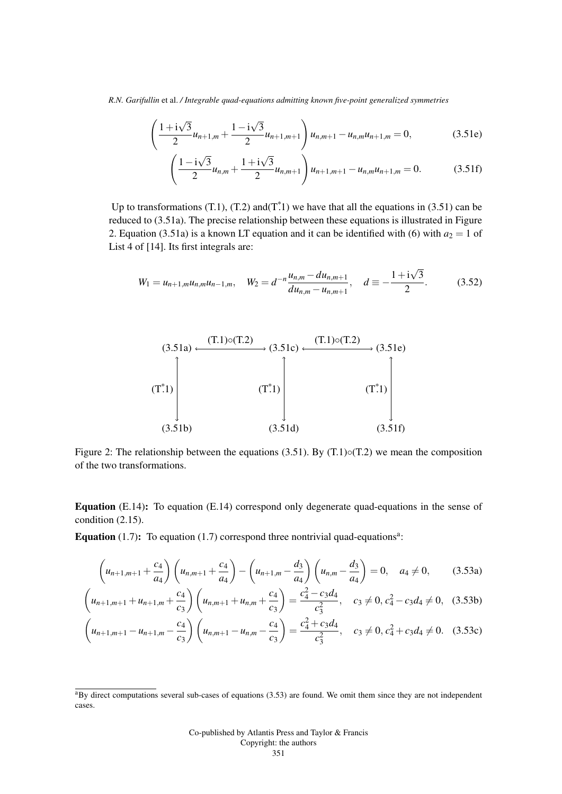$$
\left(\frac{1+i\sqrt{3}}{2}u_{n+1,m} + \frac{1-i\sqrt{3}}{2}u_{n+1,m+1}\right)u_{n,m+1} - u_{n,m}u_{n+1,m} = 0,
$$
\n(3.51e)

$$
\left(\frac{1-\mathrm{i}\sqrt{3}}{2}u_{n,m}+\frac{1+\mathrm{i}\sqrt{3}}{2}u_{n,m+1}\right)u_{n+1,m+1}-u_{n,m}u_{n+1,m}=0.
$$
 (3.51f)

Up to transformations (T.1), (T.2) and  $(T<sup>*</sup>1)$  we have that all the equations in (3.51) can be reduced to (3.51a). The precise relationship between these equations is illustrated in Figure 2. Equation (3.51a) is a known LT equation and it can be identified with (6) with  $a_2 = 1$  of List 4 of [14]. Its first integrals are:

$$
W_1 = u_{n+1,m}u_{n,m}u_{n-1,m}, \quad W_2 = d^{-n}\frac{u_{n,m} - du_{n,m+1}}{du_{n,m} - u_{n,m+1}}, \quad d \equiv -\frac{1 + i\sqrt{3}}{2}.
$$
 (3.52)



Figure 2: The relationship between the equations (3.51). By (T.1) $\circ$ (T.2) we mean the composition of the two transformations.

Equation (E.14): To equation (E.14) correspond only degenerate quad-equations in the sense of condition (2.15).

Equation  $(1.7)$ : To equation  $(1.7)$  correspond three nontrivial quad-equations<sup>a</sup>:

$$
\left(u_{n+1,m+1} + \frac{c_4}{a_4}\right)\left(u_{n,m+1} + \frac{c_4}{a_4}\right) - \left(u_{n+1,m} - \frac{d_3}{a_4}\right)\left(u_{n,m} - \frac{d_3}{a_4}\right) = 0, \quad a_4 \neq 0,
$$
 (3.53a)

$$
\left(u_{n+1,m+1} + u_{n+1,m} + \frac{c_4}{c_3}\right) \left(u_{n,m+1} + u_{n,m} + \frac{c_4}{c_3}\right) = \frac{c_4^2 - c_3 d_4}{c_3^2}, \quad c_3 \neq 0, c_4^2 - c_3 d_4 \neq 0, \quad (3.53b)
$$

$$
\left(u_{n+1,m+1}-u_{n+1,m}-\frac{c_4}{c_3}\right)\left(u_{n,m+1}-u_{n,m}-\frac{c_4}{c_3}\right)=\frac{c_4^2+c_3d_4}{c_3^2}, \quad c_3 \neq 0, c_4^2+c_3d_4 \neq 0. \quad (3.53c)
$$

 $a$ By direct computations several sub-cases of equations (3.53) are found. We omit them since they are not independent cases.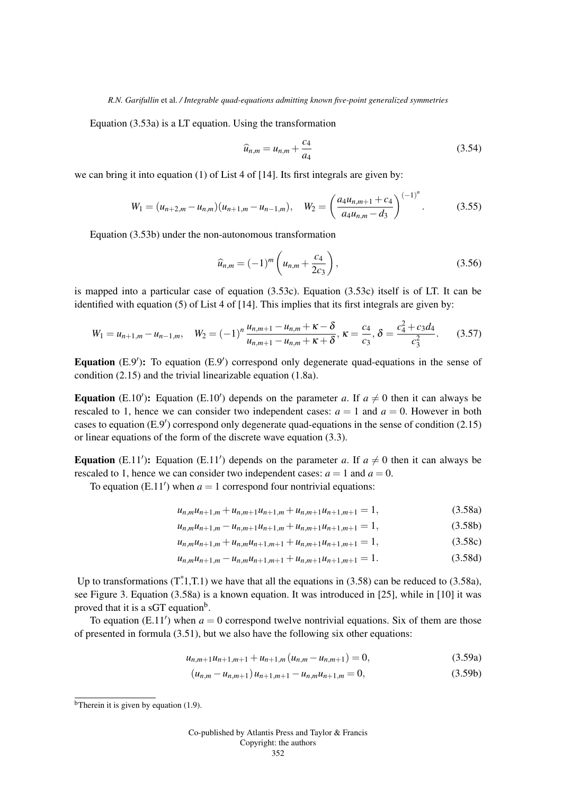Equation (3.53a) is a LT equation. Using the transformation

$$
\widehat{u}_{n,m} = u_{n,m} + \frac{c_4}{a_4} \tag{3.54}
$$

we can bring it into equation (1) of List 4 of [14]. Its first integrals are given by:

$$
W_1 = (u_{n+2,m} - u_{n,m})(u_{n+1,m} - u_{n-1,m}), \quad W_2 = \left(\frac{a_4 u_{n,m+1} + c_4}{a_4 u_{n,m} - d_3}\right)^{(-1)^n}.
$$
 (3.55)

Equation (3.53b) under the non-autonomous transformation

$$
\widehat{u}_{n,m} = (-1)^m \left( u_{n,m} + \frac{c_4}{2c_3} \right),
$$
\n(3.56)

is mapped into a particular case of equation (3.53c). Equation (3.53c) itself is of LT. It can be identified with equation (5) of List 4 of [14]. This implies that its first integrals are given by:

$$
W_1 = u_{n+1,m} - u_{n-1,m}, \quad W_2 = (-1)^n \frac{u_{n,m+1} - u_{n,m} + \kappa - \delta}{u_{n,m+1} - u_{n,m} + \kappa + \delta}, \quad \kappa = \frac{c_4}{c_3}, \quad \delta = \frac{c_4^2 + c_3 d_4}{c_3^2}.\tag{3.57}
$$

Equation  $(E.9')$ : To equation  $(E.9')$  correspond only degenerate quad-equations in the sense of condition (2.15) and the trivial linearizable equation (1.8a).

**Equation** (E.10'): Equation (E.10') depends on the parameter *a*. If  $a \neq 0$  then it can always be rescaled to 1, hence we can consider two independent cases:  $a = 1$  and  $a = 0$ . However in both cases to equation (E.9') correspond only degenerate quad-equations in the sense of condition (2.15) or linear equations of the form of the discrete wave equation (3.3).

**Equation** (E.11'): Equation (E.11') depends on the parameter *a*. If  $a \neq 0$  then it can always be rescaled to 1, hence we can consider two independent cases:  $a = 1$  and  $a = 0$ .

To equation  $(E.11')$  when  $a = 1$  correspond four nontrivial equations:

$$
u_{n,m}u_{n+1,m} + u_{n,m+1}u_{n+1,m} + u_{n,m+1}u_{n+1,m+1} = 1,
$$
\n(3.58a)

$$
u_{n,m}u_{n+1,m}-u_{n,m+1}u_{n+1,m}+u_{n,m+1}u_{n+1,m+1}=1,
$$
\n(3.58b)

$$
u_{n,m}u_{n+1,m} + u_{n,m}u_{n+1,m+1} + u_{n,m+1}u_{n+1,m+1} = 1,
$$
\n(3.58c)

$$
u_{n,m}u_{n+1,m} - u_{n,m}u_{n+1,m+1} + u_{n,m+1}u_{n+1,m+1} = 1.
$$
\n(3.58d)

Up to transformations  $(T^*1, T.1)$  we have that all the equations in (3.58) can be reduced to (3.58a), see Figure 3. Equation (3.58a) is a known equation. It was introduced in [25], while in [10] it was proved that it is a sGT equation<sup>b</sup>.

To equation (E.11') when  $a = 0$  correspond twelve nontrivial equations. Six of them are those of presented in formula (3.51), but we also have the following six other equations:

$$
u_{n,m+1}u_{n+1,m+1} + u_{n+1,m}(u_{n,m}-u_{n,m+1}) = 0,
$$
\n(3.59a)

$$
(u_{n,m} - u_{n,m+1})u_{n+1,m+1} - u_{n,m}u_{n+1,m} = 0,
$$
\n(3.59b)

<sup>&</sup>lt;sup>b</sup>Therein it is given by equation  $(1.9)$ .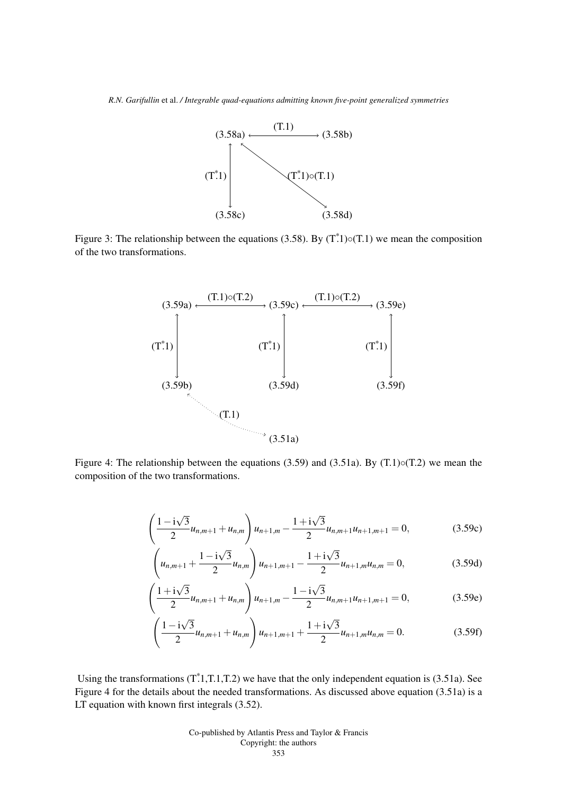

Figure 3: The relationship between the equations (3.58). By  $(T<sup>*</sup>1) \circ (T<sup>*</sup>1)$  we mean the composition of the two transformations.



Figure 4: The relationship between the equations  $(3.59)$  and  $(3.51a)$ . By  $(T.1) \circ (T.2)$  we mean the composition of the two transformations.

$$
\left(\frac{1-\mathrm{i}\sqrt{3}}{2}u_{n,m+1}+u_{n,m}\right)u_{n+1,m}-\frac{1+\mathrm{i}\sqrt{3}}{2}u_{n,m+1}u_{n+1,m+1}=0,
$$
\n(3.59c)

$$
\left(u_{n,m+1} + \frac{1 - i\sqrt{3}}{2}u_{n,m}\right)u_{n+1,m+1} - \frac{1 + i\sqrt{3}}{2}u_{n+1,m}u_{n,m} = 0, \tag{3.59d}
$$

$$
\left(\frac{1+i\sqrt{3}}{2}u_{n,m+1} + u_{n,m}\right)u_{n+1,m} - \frac{1-i\sqrt{3}}{2}u_{n,m+1}u_{n+1,m+1} = 0,
$$
\n(3.59e)

$$
\left(\frac{1-\mathrm{i}\sqrt{3}}{2}u_{n,m+1}+u_{n,m}\right)u_{n+1,m+1}+\frac{1+\mathrm{i}\sqrt{3}}{2}u_{n+1,m}u_{n,m}=0.
$$
 (3.59f)

Using the transformations  $(T^*1, T.1, T.2)$  we have that the only independent equation is (3.51a). See Figure 4 for the details about the needed transformations. As discussed above equation (3.51a) is a LT equation with known first integrals (3.52).

> Co-published by Atlantis Press and Taylor & Francis Copyright: the authors

#### 353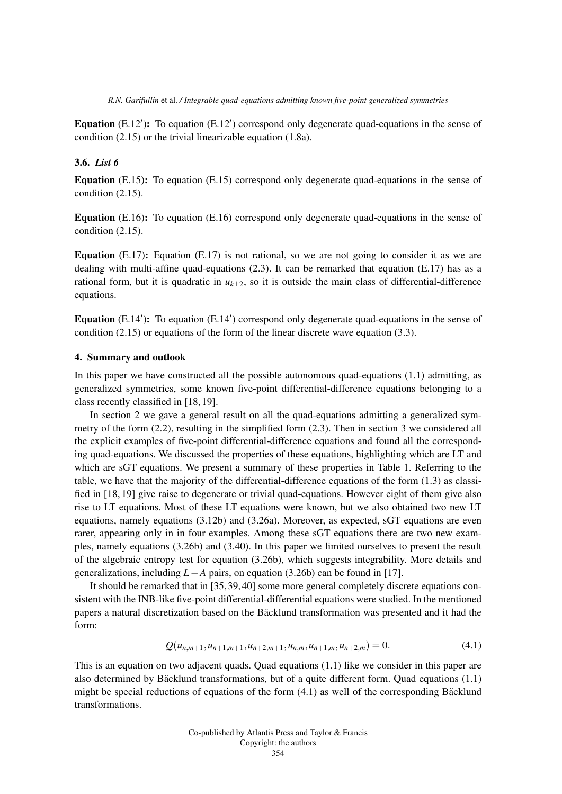Equation (E.12'): To equation (E.12') correspond only degenerate quad-equations in the sense of condition (2.15) or the trivial linearizable equation (1.8a).

## 3.6. *List 6*

Equation (E.15): To equation (E.15) correspond only degenerate quad-equations in the sense of condition (2.15).

Equation (E.16): To equation (E.16) correspond only degenerate quad-equations in the sense of condition (2.15).

**Equation** (E.17): Equation (E.17) is not rational, so we are not going to consider it as we are dealing with multi-affine quad-equations  $(2.3)$ . It can be remarked that equation  $(E.17)$  has as a rational form, but it is quadratic in  $u_{k+2}$ , so it is outside the main class of differential-difference equations.

Equation (E.14'): To equation (E.14') correspond only degenerate quad-equations in the sense of condition  $(2.15)$  or equations of the form of the linear discrete wave equation  $(3.3)$ .

#### 4. Summary and outlook

In this paper we have constructed all the possible autonomous quad-equations (1.1) admitting, as generalized symmetries, some known five-point differential-difference equations belonging to a class recently classified in [18, 19].

In section 2 we gave a general result on all the quad-equations admitting a generalized symmetry of the form (2.2), resulting in the simplified form (2.3). Then in section 3 we considered all the explicit examples of five-point differential-difference equations and found all the corresponding quad-equations. We discussed the properties of these equations, highlighting which are LT and which are sGT equations. We present a summary of these properties in Table 1. Referring to the table, we have that the majority of the differential-difference equations of the form (1.3) as classified in [18, 19] give raise to degenerate or trivial quad-equations. However eight of them give also rise to LT equations. Most of these LT equations were known, but we also obtained two new LT equations, namely equations (3.12b) and (3.26a). Moreover, as expected, sGT equations are even rarer, appearing only in in four examples. Among these sGT equations there are two new examples, namely equations (3.26b) and (3.40). In this paper we limited ourselves to present the result of the algebraic entropy test for equation (3.26b), which suggests integrability. More details and generalizations, including *L*−*A* pairs, on equation (3.26b) can be found in [17].

It should be remarked that in [35, 39, 40] some more general completely discrete equations consistent with the INB-like five-point differential-differential equations were studied. In the mentioned papers a natural discretization based on the Bäcklund transformation was presented and it had the form:

$$
Q(u_{n,m+1}, u_{n+1,m+1}, u_{n+2,m+1}, u_{n,m}, u_{n+1,m}, u_{n+2,m}) = 0.
$$
\n
$$
(4.1)
$$

This is an equation on two adjacent quads. Quad equations (1.1) like we consider in this paper are also determined by Bäcklund transformations, but of a quite different form. Quad equations  $(1.1)$ might be special reductions of equations of the form  $(4.1)$  as well of the corresponding Bäcklund transformations.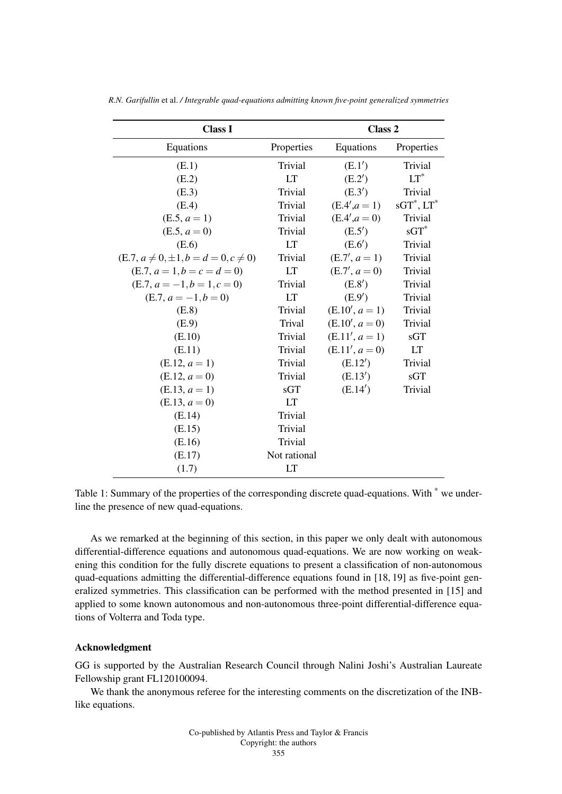| <b>Class I</b>                                |              | Class 2          |                  |
|-----------------------------------------------|--------------|------------------|------------------|
| Equations                                     | Properties   | Equations        | Properties       |
| (E.1)                                         | Trivial      | (E.1')           | Trivial          |
| (E.2)                                         | LT           | (E.2')           | $LT^*$           |
| (E.3)                                         | Trivial      | (E.3')           | Trivial          |
| (E.4)                                         | Trivial      | $(E.4', a = 1)$  | $sGT^*$ , $LT^*$ |
| $(E.5, a = 1)$                                | Trivial      | $(E.4', a = 0)$  | Trivial          |
| $(E.5, a=0)$                                  | Trivial      | (E.5')           | $sGT^*$          |
| (E.6)                                         | <b>LT</b>    | (E.6')           | Trivial          |
| $(E.7, a \neq 0, \pm 1, b = d = 0, c \neq 0)$ | Trivial      | $(E.7', a = 1)$  | Trivial          |
| $(E.7, a=1, b=c=d=0)$                         | <b>LT</b>    | $(E.7', a = 0)$  | Trivial          |
| $(E.7, a = -1, b = 1, c = 0)$                 | Trivial      | (E.8')           | Trivial          |
| $(E.7, a = -1, b = 0)$                        | <b>LT</b>    | (E.9')           | Trivial          |
| (E.8)                                         | Trivial      | $(E.10', a = 1)$ | Trivial          |
| (E.9)                                         | Trival       | $(E.10', a = 0)$ | Trivial          |
| (E.10)                                        | Trivial      | $(E.11', a = 1)$ | sGT              |
| (E.11)                                        | Trivial      | $(E.11', a=0)$   | <b>LT</b>        |
| $(E.12, a = 1)$                               | Trivial      | (E.12')          | Trivial          |
| $(E.12, a=0)$                                 | Trivial      | (E.13')          | sGT              |
| $(E.13, a = 1)$                               | sGT          | (E.14')          | Trivial          |
| $(E.13, a=0)$                                 | LT           |                  |                  |
| (E.14)                                        | Trivial      |                  |                  |
| (E.15)                                        | Trivial      |                  |                  |
| (E.16)                                        | Trivial      |                  |                  |
| (E.17)                                        | Not rational |                  |                  |
| (1.7)                                         | <b>LT</b>    |                  |                  |

*R.N. Garifullin* et al. */ Integrable quad-equations admitting known five-point generalized symmetries*

Table 1: Summary of the properties of the corresponding discrete quad-equations. With \* we underline the presence of new quad-equations.

As we remarked at the beginning of this section, in this paper we only dealt with autonomous differential-difference equations and autonomous quad-equations. We are now working on weakening this condition for the fully discrete equations to present a classification of non-autonomous quad-equations admitting the differential-difference equations found in [18, 19] as five-point generalized symmetries. This classification can be performed with the method presented in [15] and applied to some known autonomous and non-autonomous three-point differential-difference equations of Volterra and Toda type.

#### Acknowledgment

GG is supported by the Australian Research Council through Nalini Joshi's Australian Laureate Fellowship grant FL120100094.

We thank the anonymous referee for the interesting comments on the discretization of the INBlike equations.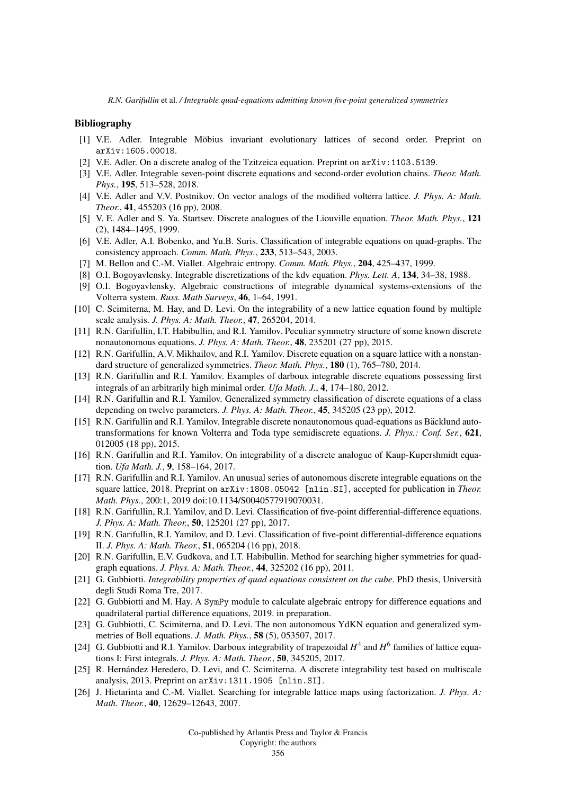#### Bibliography

- [1] V.E. Adler. Integrable Möbius invariant evolutionary lattices of second order. Preprint on arXiv:1605.00018.
- [2] V.E. Adler. On a discrete analog of the Tzitzeica equation. Preprint on arXiv:1103.5139.
- [3] V.E. Adler. Integrable seven-point discrete equations and second-order evolution chains. *Theor. Math. Phys.*, 195, 513–528, 2018.
- [4] V.E. Adler and V.V. Postnikov. On vector analogs of the modified volterra lattice. *J. Phys. A: Math. Theor.*, 41, 455203 (16 pp), 2008.
- [5] V. E. Adler and S. Ya. Startsev. Discrete analogues of the Liouville equation. *Theor. Math. Phys.*, 121 (2), 1484–1495, 1999.
- [6] V.E. Adler, A.I. Bobenko, and Yu.B. Suris. Classification of integrable equations on quad-graphs. The consistency approach. *Comm. Math. Phys.*, 233, 513–543, 2003.
- [7] M. Bellon and C.-M. Viallet. Algebraic entropy. *Comm. Math. Phys.*, 204, 425–437, 1999.
- [8] O.I. Bogoyavlensky. Integrable discretizations of the kdv equation. *Phys. Lett. A*, 134, 34–38, 1988.
- [9] O.I. Bogoyavlensky. Algebraic constructions of integrable dynamical systems-extensions of the Volterra system. *Russ. Math Surveys*, 46, 1–64, 1991.
- [10] C. Scimiterna, M. Hay, and D. Levi. On the integrability of a new lattice equation found by multiple scale analysis. *J. Phys. A: Math. Theor.*, 47, 265204, 2014.
- [11] R.N. Garifullin, I.T. Habibullin, and R.I. Yamilov. Peculiar symmetry structure of some known discrete nonautonomous equations. *J. Phys. A: Math. Theor.*, 48, 235201 (27 pp), 2015.
- [12] R.N. Garifullin, A.V. Mikhailov, and R.I. Yamilov. Discrete equation on a square lattice with a nonstandard structure of generalized symmetries. *Theor. Math. Phys.*, 180 (1), 765–780, 2014.
- [13] R.N. Garifullin and R.I. Yamilov. Examples of darboux integrable discrete equations possessing first integrals of an arbitrarily high minimal order. *Ufa Math. J.*, 4, 174–180, 2012.
- [14] R.N. Garifullin and R.I. Yamilov. Generalized symmetry classification of discrete equations of a class depending on twelve parameters. *J. Phys. A: Math. Theor.*, 45, 345205 (23 pp), 2012.
- [15] R.N. Garifullin and R.I. Yamilov. Integrable discrete nonautonomous quad-equations as Bäcklund autotransformations for known Volterra and Toda type semidiscrete equations. *J. Phys.: Conf. Ser.*, 621, 012005 (18 pp), 2015.
- [16] R.N. Garifullin and R.I. Yamilov. On integrability of a discrete analogue of Kaup-Kupershmidt equation. *Ufa Math. J.*, 9, 158–164, 2017.
- [17] R.N. Garifullin and R.I. Yamilov. An unusual series of autonomous discrete integrable equations on the square lattice, 2018. Preprint on arXiv:1808.05042 [nlin.SI], accepted for publication in *Theor. Math. Phys.*, 200:1, 2019 doi:10.1134/S0040577919070031.
- [18] R.N. Garifullin, R.I. Yamilov, and D. Levi. Classification of five-point differential-difference equations. *J. Phys. A: Math. Theor.*, 50, 125201 (27 pp), 2017.
- [19] R.N. Garifullin, R.I. Yamilov, and D. Levi. Classification of five-point differential-difference equations II. *J. Phys. A: Math. Theor.*, 51, 065204 (16 pp), 2018.
- [20] R.N. Garifullin, E.V. Gudkova, and I.T. Habibullin. Method for searching higher symmetries for quadgraph equations. *J. Phys. A: Math. Theor.*, 44, 325202 (16 pp), 2011.
- [21] G. Gubbiotti. *Integrability properties of quad equations consistent on the cube*. PhD thesis, Universita` degli Studi Roma Tre, 2017.
- [22] G. Gubbiotti and M. Hay. A SymPy module to calculate algebraic entropy for difference equations and quadrilateral partial difference equations, 2019. in preparation.
- [23] G. Gubbiotti, C. Scimiterna, and D. Levi. The non autonomous YdKN equation and generalized symmetries of Boll equations. *J. Math. Phys.*, 58 (5), 053507, 2017.
- [24] G. Gubbiotti and R.I. Yamilov. Darboux integrability of trapezoidal  $H^4$  and  $H^6$  families of lattice equations I: First integrals. *J. Phys. A: Math. Theor.*, 50, 345205, 2017.
- [25] R. Hernández Heredero, D. Levi, and C. Scimiterna. A discrete integrability test based on multiscale analysis, 2013. Preprint on arXiv:1311.1905 [nlin.SI].
- [26] J. Hietarinta and C.-M. Viallet. Searching for integrable lattice maps using factorization. *J. Phys. A: Math. Theor.*, 40, 12629–12643, 2007.